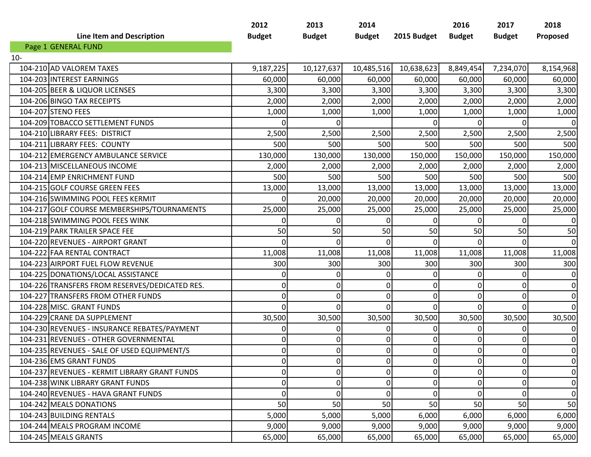|     | <b>Line Item and Description</b>               | 2012<br><b>Budget</b> | 2013<br><b>Budget</b> | 2014<br><b>Budget</b> | 2015 Budget      | 2016<br><b>Budget</b> | 2017<br><b>Budget</b> | 2018<br>Proposed |
|-----|------------------------------------------------|-----------------------|-----------------------|-----------------------|------------------|-----------------------|-----------------------|------------------|
|     | Page 1 GENERAL FUND                            |                       |                       |                       |                  |                       |                       |                  |
| 10- |                                                |                       |                       |                       |                  |                       |                       |                  |
|     | 104-210 AD VALOREM TAXES                       | 9,187,225             | 10,127,637            | 10,485,516            | 10,638,623       | 8,849,454             | 7,234,070             | 8,154,968        |
|     | 104-203 INTEREST EARNINGS                      | 60,000                | 60,000                | 60,000                | 60,000           | 60,000                | 60,000                | 60,000           |
|     | 104-205 BEER & LIQUOR LICENSES                 | 3,300                 | 3,300                 | 3,300                 | 3,300            | 3,300                 | 3,300                 | 3,300            |
|     | 104-206 BINGO TAX RECEIPTS                     | 2,000                 | 2,000                 | 2,000                 | 2,000            | 2,000                 | 2,000                 | 2,000            |
|     | 104-207 STENO FEES                             | 1,000                 | 1,000                 | 1,000                 | 1,000            | 1,000                 | 1,000                 | 1,000            |
|     | 104-209 TOBACCO SETTLEMENT FUNDS               | 0                     | $\Omega$              |                       | $\Omega$         | $\Omega$              | $\Omega$              | $\overline{0}$   |
|     | 104-210 LIBRARY FEES: DISTRICT                 | 2,500                 | 2,500                 | 2,500                 | 2,500            | 2,500                 | 2,500                 | 2,500            |
|     | 104-211 LIBRARY FEES: COUNTY                   | 500                   | 500                   | 500                   | 500              | 500                   | 500                   | 500              |
|     | 104-212 EMERGENCY AMBULANCE SERVICE            | 130,000               | 130,000               | 130,000               | 150,000          | 150,000               | 150,000               | 150,000          |
|     | 104-213 MISCELLANEOUS INCOME                   | 2,000                 | 2,000                 | 2,000                 | 2,000            | 2,000                 | 2,000                 | 2,000            |
|     | 104-214 EMP ENRICHMENT FUND                    | 500                   | 500                   | 500                   | 500              | 500                   | 500                   | 500              |
|     | 104-215 GOLF COURSE GREEN FEES                 | 13,000                | 13,000                | 13,000                | 13,000           | 13,000                | 13,000                | 13,000           |
|     | 104-216 SWIMMING POOL FEES KERMIT              | O                     | 20,000                | 20,000                | 20,000           | 20,000                | 20,000                | 20,000           |
|     | 104-217 GOLF COURSE MEMBERSHIPS/TOURNAMENTS    | 25,000                | 25,000                | 25,000                | 25,000           | 25,000                | 25,000                | 25,000           |
|     | 104-218 SWIMMING POOL FEES WINK                | $\Omega$              | $\Omega$              | O                     | $\Omega$         | $\Omega$              | $\Omega$              | $\boldsymbol{0}$ |
|     | 104-219 PARK TRAILER SPACE FEE                 | 50                    | 50                    | 50                    | 50               | 50                    | 50                    | 50               |
|     | 104-220 REVENUES - AIRPORT GRANT               | O                     | $\Omega$              |                       |                  | ΩI                    |                       | 0                |
|     | 104-222 FAA RENTAL CONTRACT                    | 11,008                | 11,008                | 11,008                | 11,008           | 11,008                | 11,008                | 11,008           |
|     | 104-223 AIRPORT FUEL FLOW REVENUE              | 300                   | 300                   | 300                   | 300              | 300                   | 300                   | 300              |
|     | 104-225 DONATIONS/LOCAL ASSISTANCE             | 0                     | 0                     | 0                     | $\mathbf 0$      | $\Omega$              | $\Omega$              | $\boldsymbol{0}$ |
|     | 104-226 TRANSFERS FROM RESERVES/DEDICATED RES. | 0                     | $\overline{0}$        | $\Omega$              | 0                | $\overline{0}$        | $\Omega$              | $\boldsymbol{0}$ |
|     | 104-227 TRANSFERS FROM OTHER FUNDS             | 0                     | $\overline{0}$        | 0                     | $\Omega$         | $\overline{0}$        | $\Omega$              | $\boldsymbol{0}$ |
|     | 104-228 MISC. GRANT FUNDS                      | 0                     | $\overline{0}$        | $\Omega$              | $\mathbf 0$      | $\overline{0}$        | $\Omega$              | $\overline{0}$   |
|     | 104-229 CRANE DA SUPPLEMENT                    | 30,500                | 30,500                | 30,500                | 30,500           | 30,500                | 30,500                | 30,500           |
|     | 104-230 REVENUES - INSURANCE REBATES/PAYMENT   | 0                     | $\Omega$              | 0                     | $\Omega$         | $\Omega$              | $\Omega$              | 0                |
|     | 104-231 REVENUES - OTHER GOVERNMENTAL          | 0                     | $\overline{0}$        | 0                     | 0                | $\overline{0}$        | $\overline{0}$        | 0                |
|     | 104-235 REVENUES - SALE OF USED EQUIPMENT/S    | 0                     | $\overline{0}$        | 0                     | $\boldsymbol{0}$ | $\overline{0}$        | $\mathbf 0$           | $\mathbf 0$      |
|     | 104-236 EMS GRANT FUNDS                        | $\overline{0}$        | 0                     | $\overline{0}$        | $\overline{0}$   | $\overline{0}$        | $\overline{0}$        | 0                |
|     | 104-237 REVENUES - KERMIT LIBRARY GRANT FUNDS  | 0                     | $\overline{0}$        | 0                     | 0                | $\overline{0}$        | $\Omega$              | 0                |
|     | 104-238 WINK LIBRARY GRANT FUNDS               | 0                     | $\overline{0}$        |                       | $\Omega$         | 0                     | $\Omega$              | 0                |
|     | 104-240 REVENUES - HAVA GRANT FUNDS            | 0                     | $\overline{0}$        | 0                     | 0                | $\Omega$              | 0                     | 0                |
|     | 104-242 MEALS DONATIONS                        | 50                    | 50                    | 50                    | 50               | 50                    | 50                    | 50               |
|     | 104-243 BUILDING RENTALS                       | 5,000                 | 5,000                 | 5,000                 | 6,000            | 6,000                 | 6,000                 | 6,000            |
|     | 104-244 MEALS PROGRAM INCOME                   | 9,000                 | 9,000                 | 9,000                 | 9,000            | 9,000                 | 9,000                 | 9,000            |
|     | 104-245 MEALS GRANTS                           | 65,000                | 65,000                | 65,000                | 65,000           | 65,000                | 65,000                | 65,000           |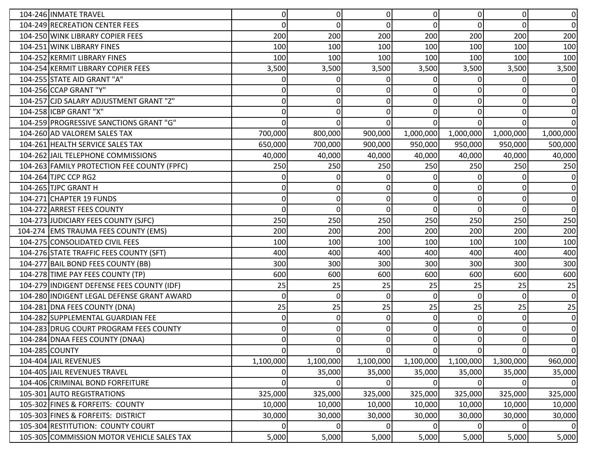| 104-246 INMATE TRAVEL                       | 0         | $\overline{0}$ | $\Omega$     | $\overline{0}$ | $\Omega$       | $\Omega$       | $\overline{0}$ |
|---------------------------------------------|-----------|----------------|--------------|----------------|----------------|----------------|----------------|
| 104-249 RECREATION CENTER FEES              | 0         | $\Omega$       | 0            | $\Omega$       | $\Omega$       | $\Omega$       | 0              |
| 104-250 WINK LIBRARY COPIER FEES            | 200       | 200            | 200          | 200            | 200            | 200            | 200            |
| 104-251 WINK LIBRARY FINES                  | 100       | 100            | 100          | 100            | 100            | 100            | 100            |
| 104-252 KERMIT LIBRARY FINES                | 100       | 100            | 100          | 100            | 100            | 100            | 100            |
| 104-254 KERMIT LIBRARY COPIER FEES          | 3,500     | 3,500          | 3,500        | 3,500          | 3,500          | 3,500          | 3,500          |
| 104-255 STATE AID GRANT "A"                 |           | 0              |              |                | 0              |                | 0              |
| 104-256 CCAP GRANT "Y"                      | 0         | 0              |              | $\Omega$       | 0              | $\Omega$       | $\overline{0}$ |
| 104-257 CJD SALARY ADJUSTMENT GRANT "Z"     |           | 0              |              | 0              | $\Omega$       | $\Omega$       | 0              |
| 104-258 ICBP GRANT "X"                      |           |                |              | 0              | $\Omega$       | $\Omega$       | 0              |
| 104-259 PROGRESSIVE SANCTIONS GRANT "G"     |           | 0              | n            | $\Omega$       | $\Omega$       | $\Omega$       | $\Omega$       |
| 104-260 AD VALOREM SALES TAX                | 700,000   | 800,000        | 900,000      | 1,000,000      | 1,000,000      | 1,000,000      | 1,000,000      |
| 104-261 HEALTH SERVICE SALES TAX            | 650,000   | 700,000        | 900,000      | 950,000        | 950,000        | 950,000        | 500,000        |
| 104-262 JJAIL TELEPHONE COMMISSIONS         | 40,000    | 40,000         | 40,000       | 40,000         | 40,000         | 40,000         | 40,000         |
| 104-263 FAMILY PROTECTION FEE COUNTY (FPFC) | 250       | 250            | 250          | 250            | 250            | 250            | 250            |
| 104-264 TJPC CCP RG2                        |           |                |              |                | <sup>n</sup>   |                | 0              |
| 104-265 TJPC GRANT H                        | 0         |                |              | 0              | 0              | $\Omega$       | 0              |
| 104-271 CHAPTER 19 FUNDS                    | 0         | $\Omega$       | O            | $\overline{0}$ | $\Omega$       | $\mathbf{0}$   | $\overline{0}$ |
| 104-272 ARREST FEES COUNTY                  | $\Omega$  | $\overline{0}$ | $\Omega$     | Οl             | $\Omega$       | $\Omega$       | $\overline{0}$ |
| 104-273 JJUDICIARY FEES COUNTY (SJFC)       | 250       | 250            | 250          | 250            | 250            | 250            | 250            |
| 104-274 EMS TRAUMA FEES COUNTY (EMS)        | 200       | 200            | 200          | 200            | 200            | 200            | 200            |
| 104-275 CONSOLIDATED CIVIL FEES             | 100       | 100            | 100          | 100            | 100            | 100            | 100            |
| 104-276 STATE TRAFFIC FEES COUNTY (SFT)     | 400       | 400            | 400          | 400            | 400            | 400            | 400            |
| 104-277 BAIL BOND FEES COUNTY (BB)          | 300       | 300            | 300          | 300            | 300            | 300            | 300            |
| 104-278 TIME PAY FEES COUNTY (TP)           | 600       | 600            | 600          | 600            | 600            | 600            | 600            |
| 104-279 INDIGENT DEFENSE FEES COUNTY (IDF)  | 25        | 25             | 25           | 25             | 25             | 25             | 25             |
| 104-280 INDIGENT LEGAL DEFENSE GRANT AWARD  | 0         | 0              | <sup>0</sup> | 0              | $\Omega$       | $\Omega$       | 0              |
| 104-281 DNA FEES COUNTY (DNA)               | 25        | 25             | 25           | 25             | 25             | 25             | 25             |
| 104-282 SUPPLEMENTAL GUARDIAN FEE           | 0         | $\overline{0}$ | $\Omega$     | $\Omega$       | $\Omega$       | $\mathbf{0}$   | 0              |
| 104-283 DRUG COURT PROGRAM FEES COUNTY      | O         | 0              | 0            | $\Omega$       | $\Omega$       | $\Omega$       | 0              |
| 104-284 DNAA FEES COUNTY (DNAA)             | 0         | ΩI             | 0            | Οl             | $\Omega$       | $\overline{0}$ | $\Omega$       |
| 104-285 COUNTY                              | 0         | $\overline{0}$ | $\Omega$     | $\Omega$       | $\overline{0}$ | $\overline{0}$ | $\overline{0}$ |
| 104-404 JAIL REVENUES                       | 1,100,000 | 1,100,000      | 1,100,000    | 1,100,000      | 1,100,000      | 1,300,000      | 960,000        |
| 104-405 JJAIL REVENUES TRAVEL               | 0         | 35,000         | 35,000       | 35,000         | 35,000         | 35,000         | 35,000         |
| 104-406 CRIMINAL BOND FORFEITURE            | 0         | $\overline{0}$ | $\Omega$     | $\Omega$       | $\overline{0}$ | $\overline{0}$ | $\overline{0}$ |
| 105-301 AUTO REGISTRATIONS                  | 325,000   | 325,000        | 325,000      | 325,000        | 325,000        | 325,000        | 325,000        |
| 105-302 FINES & FORFEITS: COUNTY            | 10,000    | 10,000         | 10,000       | 10,000         | 10,000         | 10,000         | 10,000         |
| 105-303 FINES & FORFEITS: DISTRICT          | 30,000    | 30,000         | 30,000       | 30,000         | 30,000         | 30,000         | 30,000         |
| 105-304 RESTITUTION: COUNTY COURT           | 0         | $\overline{0}$ | 0            | $\overline{0}$ | $\overline{0}$ | $\Omega$       | 0              |
| 105-305 COMMISSION MOTOR VEHICLE SALES TAX  | 5,000     | 5,000          | 5,000        | 5,000          | 5,000          | 5,000          | 5,000          |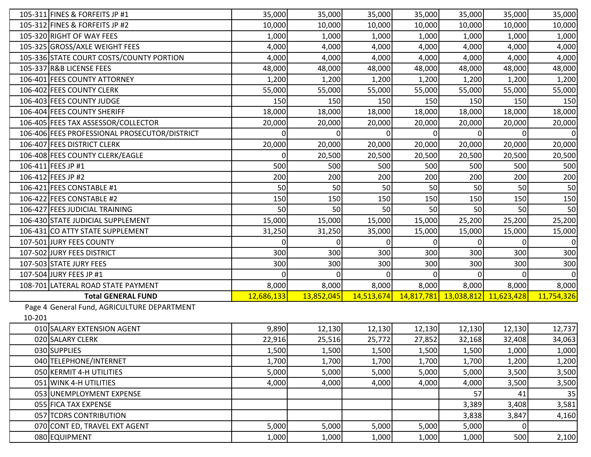|        | 105-311 FINES & FORFEITS JP #1                | 35,000     | 35,000     | 35,000     | 35,000 | 35,000                             | 35,000 | 35,000     |
|--------|-----------------------------------------------|------------|------------|------------|--------|------------------------------------|--------|------------|
|        | 105-312 FINES & FORFEITS JP #2                | 10,000     | 10,000     | 10,000     | 10,000 | 10,000                             | 10,000 | 10,000     |
|        | 105-320 RIGHT OF WAY FEES                     | 1,000      | 1,000      | 1,000      | 1,000  | 1,000                              | 1,000  | 1,000      |
|        | 105-325 GROSS/AXLE WEIGHT FEES                | 4,000      | 4,000      | 4,000      | 4,000  | 4,000                              | 4,000  | 4,000      |
|        | 105-336 STATE COURT COSTS/COUNTY PORTION      | 4,000      | 4,000      | 4,000      | 4,000  | 4,000                              | 4,000  | 4,000      |
|        | 105-337 R&B LICENSE FEES                      | 48,000     | 48,000     | 48,000     | 48,000 | 48,000                             | 48,000 | 48,000     |
|        | 106-401 FEES COUNTY ATTORNEY                  | 1,200      | 1,200      | 1,200      | 1,200  | 1,200                              | 1,200  | 1,200      |
|        | 106-402 FEES COUNTY CLERK                     | 55,000     | 55,000     | 55,000     | 55,000 | 55,000                             | 55,000 | 55,000     |
|        | 106-403 FEES COUNTY JUDGE                     | 150        | 150        | 150        | 150    | 150                                | 150    | 150        |
|        | 106-404 FEES COUNTY SHERIFF                   | 18,000     | 18,000     | 18,000     | 18,000 | 18,000                             | 18,000 | 18,000     |
|        | 106-405 FEES TAX ASSESSOR/COLLECTOR           | 20,000     | 20,000     | 20,000     | 20,000 | 20,000                             | 20,000 | 20,000     |
|        | 106-406 FEES PROFESSIONAL PROSECUTOR/DISTRICT | 0          | 0          | $\Omega$   | 0      |                                    |        | 0          |
|        | 106-407 FEES DISTRICT CLERK                   | 20,000     | 20,000     | 20,000     | 20,000 | 20,000                             | 20,000 | 20,000     |
|        | 106-408 FEES COUNTY CLERK/EAGLE               | Οl         | 20,500     | 20,500     | 20,500 | 20,500                             | 20,500 | 20,500     |
|        | 106-411 FEES JP #1                            | 500        | 500        | 500        | 500    | 500                                | 500    | 500        |
|        | 106-412 FEES JP #2                            | 200        | 200        | 200        | 200    | 200                                | 200    | 200        |
|        | 106-421 FEES CONSTABLE #1                     | 50         | 50         | 50         | 50     | 50                                 | 50     | 50         |
|        | 106-422 FEES CONSTABLE #2                     | 150        | 150        | 150        | 150    | 150                                | 150    | 150        |
|        | 106-427 FEES JUDICIAL TRAINING                | 50         | 50         | 50         | 50     | 50                                 | 50     | 50         |
|        | 106-430 STATE JUDICIAL SUPPLEMENT             | 15,000     | 15,000     | 15,000     | 15,000 | 25,200                             | 25,200 | 25,200     |
|        | 106-431 CO ATTY STATE SUPPLEMENT              | 31,250     | 31,250     | 35,000     | 15,000 | 15,000                             | 15,000 | 15,000     |
|        | 107-501 JURY FEES COUNTY                      | 0          | 0          | 0          | 0      | 0                                  |        | 0          |
|        | 107-502 JURY FEES DISTRICT                    | 300        | 300        | 300        | 300    | 300                                | 300    | 300        |
|        | 107-503 STATE JURY FEES                       | 300        | 300        | 300        | 300    | 300                                | 300    | 300        |
|        | 107-504 JURY FEES JP #1                       | $\Omega$   |            |            |        |                                    |        | 0          |
|        | 108-701 LATERAL ROAD STATE PAYMENT            | 8,000      | 8,000      | 8,000      | 8,000  | 8,000                              | 8,000  | 8,000      |
|        | <b>Total GENERAL FUND</b>                     | 12,686,133 | 13,852,045 | 14,513,674 |        | 14,817,781  13,038,812  11,623,428 |        | 11,754,326 |
|        | Page 4 General Fund, AGRICULTURE DEPARTMENT   |            |            |            |        |                                    |        |            |
| 10-201 |                                               |            |            |            |        |                                    |        |            |
|        | 010 SALARY EXTENSION AGENT                    | 9,890      | 12,130     | 12,130     | 12,130 | 12,130                             | 12,130 | 12,737     |
|        | 020 SALARY CLERK                              | 22,916     | 25,516     | 25,772     | 27,852 | 32,168                             | 32,408 | 34,063     |
|        | 030 SUPPLIES                                  | 1,500      | 1,500      | 1,500      | 1,500  | 1,500                              | 1,000  | 1,000      |
|        | 040 TELEPHONE/INTERNET                        | 1,700      | 1,700      | 1,700      | 1,700  | 1,700                              | 1,200  | 1,200      |
|        | 050 KERMIT 4-H UTILITIES                      | 5,000      | 5,000      | 5,000      | 5,000  | 5,000                              | 3,500  | 3,500      |
|        | 051 WINK 4-H UTILITIES                        | 4,000      | 4,000      | 4,000      | 4,000  | 4,000                              | 3,500  | 3,500      |
|        | 053 UNEMPLOYMENT EXPENSE                      |            |            |            |        | 57                                 | 41     | 35         |
|        | 055 FICA TAX EXPENSE                          |            |            |            |        | 3,389                              | 3,408  | 3,581      |
|        | 057 TCDRS CONTRIBUTION                        |            |            |            |        | 3,838                              | 3,847  | 4,160      |
|        | 070 CONT ED, TRAVEL EXT AGENT                 | 5,000      | 5,000      | 5,000      | 5,000  | 5,000                              | 0      |            |
|        | 080 EQUIPMENT                                 | 1,000      | 1,000      | 1,000      | 1,000  | 1,000                              | 500    | 2,100      |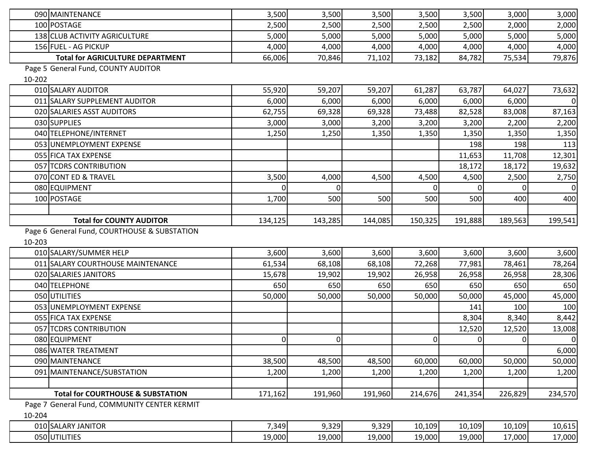|        | 090 MAINTENANCE                              | 3,500          | 3,500    | 3,500   | 3,500          | 3,500          | 3,000          | 3,000                                         |
|--------|----------------------------------------------|----------------|----------|---------|----------------|----------------|----------------|-----------------------------------------------|
|        | 100 POSTAGE                                  | 2,500          | 2,500    | 2,500   | 2,500          | 2,500          | 2,000          | 2,000                                         |
|        | 138 CLUB ACTIVITY AGRICULTURE                | 5,000          | 5,000    | 5,000   | 5,000          | 5,000          | 5,000          | 5,000                                         |
|        | 156 FUEL - AG PICKUP                         | 4,000          | 4,000    | 4,000   | 4,000          | 4,000          | 4,000          | 4,000                                         |
|        | <b>Total for AGRICULTURE DEPARTMENT</b>      | 66,006         | 70,846   | 71,102  | 73,182         | 84,782         | 75,534         | 79,876                                        |
|        | Page 5 General Fund, COUNTY AUDITOR          |                |          |         |                |                |                |                                               |
| 10-202 |                                              |                |          |         |                |                |                |                                               |
|        | 010 SALARY AUDITOR                           | 55,920         | 59,207   | 59,207  | 61,287         | 63,787         | 64,027         | 73,632                                        |
|        | 011 SALARY SUPPLEMENT AUDITOR                | 6,000          | 6,000    | 6,000   | 6,000          | 6,000          | 6,000          | $\mathbf 0$                                   |
|        | 020 SALARIES ASST AUDITORS                   | 62,755         | 69,328   | 69,328  | 73,488         | 82,528         | 83,008         | 87,163                                        |
|        | 030 SUPPLIES                                 | 3,000          | 3,000    | 3,200   | 3,200          | 3,200          | 2,200          | 2,200                                         |
|        | 040 TELEPHONE/INTERNET                       | 1,250          | 1,250    | 1,350   | 1,350          | 1,350          | 1,350          | 1,350                                         |
|        | 053 UNEMPLOYMENT EXPENSE                     |                |          |         |                | 198            | 198            | 113                                           |
|        | 055 FICA TAX EXPENSE                         |                |          |         |                | 11,653         | 11,708         | 12,301                                        |
|        | 057 TCDRS CONTRIBUTION                       |                |          |         |                | 18,172         | 18,172         | 19,632                                        |
|        | 070 CONT ED & TRAVEL                         | 3,500          | 4,000    | 4,500   | 4,500          | 4,500          | 2,500          | 2,750                                         |
|        | 080 EQUIPMENT                                |                |          |         |                |                |                | 0                                             |
|        | 100 POSTAGE                                  | 1,700          | 500      | 500     | 500            | 500            | 400            | 400                                           |
|        |                                              |                |          |         |                |                |                |                                               |
|        | <b>Total for COUNTY AUDITOR</b>              | 134,125        | 143,285  | 144,085 | 150,325        | 191,888        | 189,563        | 199,541                                       |
|        | Page 6 General Fund, COURTHOUSE & SUBSTATION |                |          |         |                |                |                |                                               |
| 10-203 |                                              |                |          |         |                |                |                |                                               |
|        | 010 SALARY/SUMMER HELP                       | 3,600          | 3,600    | 3,600   | 3,600          | 3,600          | 3,600          | 3,600                                         |
|        | 011 SALARY COURTHOUSE MAINTENANCE            | 61,534         | 68,108   | 68,108  | 72,268         | 77,981         | 78,461         | 78,264                                        |
|        | 020 SALARIES JANITORS                        | 15,678         | 19,902   | 19,902  | 26,958         | 26,958         | 26,958         | 28,306                                        |
|        | 040 TELEPHONE                                | 650            | 650      | 650     | 650            | 650            | 650            | 650                                           |
|        | 050 UTILITIES                                | 50,000         | 50,000   | 50,000  | 50,000         | 50,000         | 45,000         | 45,000                                        |
|        | 053 UNEMPLOYMENT EXPENSE                     |                |          |         |                | 141            | 100            | 100                                           |
|        | 055 FICA TAX EXPENSE                         |                |          |         |                | 8,304          | 8,340          | 8,442                                         |
|        | 057 TCDRS CONTRIBUTION                       |                |          |         |                | 12,520         | 12,520         | 13,008                                        |
|        | 080 EQUIPMENT                                | $\overline{0}$ | $\Omega$ |         | $\overline{0}$ | $\overline{0}$ | $\overline{0}$ | $\mathbf 0$                                   |
|        |                                              |                |          |         |                |                |                |                                               |
|        | 086 WATER TREATMENT                          |                |          |         |                |                |                |                                               |
|        | 090 MAINTENANCE                              | 38,500         | 48,500   | 48,500  | 60,000         | 60,000         | 50,000         |                                               |
|        | 091 MAINTENANCE/SUBSTATION                   | 1,200          | 1,200    | 1,200   | 1,200          | 1,200          | 1,200          |                                               |
|        |                                              |                |          |         |                |                |                |                                               |
|        | <b>Total for COURTHOUSE &amp; SUBSTATION</b> | 171,162        | 191,960  | 191,960 | 214,676        | 241,354        | 226,829        |                                               |
|        | Page 7 General Fund, COMMUNITY CENTER KERMIT |                |          |         |                |                |                |                                               |
| 10-204 |                                              |                |          |         |                |                |                |                                               |
|        | 010 SALARY JANITOR                           | 7,349          | 9,329    | 9,329   | 10,109         | 10,109         | 10,109         | 6,000<br>50,000<br>1,200<br>234,570<br>10,615 |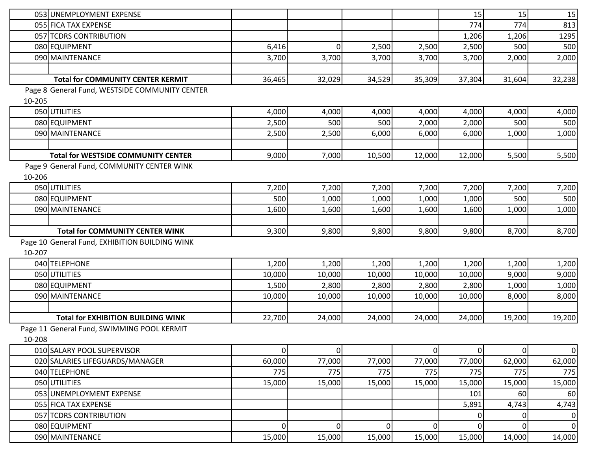|        | 053 UNEMPLOYMENT EXPENSE                       |                |             |        |                | 15             | 15       | 15     |
|--------|------------------------------------------------|----------------|-------------|--------|----------------|----------------|----------|--------|
|        | 055 FICA TAX EXPENSE                           |                |             |        |                | 774            | 774      | 813    |
|        | 057 TCDRS CONTRIBUTION                         |                |             |        |                | 1,206          | 1,206    | 1295   |
|        | 080 EQUIPMENT                                  | 6,416          | 0           | 2,500  | 2,500          | 2,500          | 500      | 500    |
|        | 090 MAINTENANCE                                | 3,700          | 3,700       | 3,700  | 3,700          | 3,700          | 2,000    | 2,000  |
|        |                                                |                |             |        |                |                |          |        |
|        | <b>Total for COMMUNITY CENTER KERMIT</b>       | 36,465         | 32,029      | 34,529 | 35,309         | 37,304         | 31,604   | 32,238 |
|        | Page 8 General Fund, WESTSIDE COMMUNITY CENTER |                |             |        |                |                |          |        |
| 10-205 |                                                |                |             |        |                |                |          |        |
|        | 050 UTILITIES                                  | 4,000          | 4,000       | 4,000  | 4,000          | 4,000          | 4,000    | 4,000  |
|        | 080 EQUIPMENT                                  | 2,500          | 500         | 500    | 2,000          | 2,000          | 500      | 500    |
|        | 090 MAINTENANCE                                | 2,500          | 2,500       | 6,000  | 6,000          | 6,000          | 1,000    | 1,000  |
|        |                                                |                |             |        |                |                |          |        |
|        | <b>Total for WESTSIDE COMMUNITY CENTER</b>     | 9,000          | 7,000       | 10,500 | 12,000         | 12,000         | 5,500    | 5,500  |
|        | Page 9 General Fund, COMMUNITY CENTER WINK     |                |             |        |                |                |          |        |
| 10-206 |                                                |                |             |        |                |                |          |        |
|        | 050 UTILITIES                                  | 7,200          | 7,200       | 7,200  | 7,200          | 7,200          | 7,200    | 7,200  |
|        | 080 EQUIPMENT                                  | 500            | 1,000       | 1,000  | 1,000          | 1,000          | 500      | 500    |
|        | 090 MAINTENANCE                                | 1,600          | 1,600       | 1,600  | 1,600          | 1,600          | 1,000    | 1,000  |
|        |                                                |                |             |        |                |                |          |        |
|        | <b>Total for COMMUNITY CENTER WINK</b>         | 9,300          | 9,800       | 9,800  | 9,800          | 9,800          | 8,700    | 8,700  |
|        | Page 10 General Fund, EXHIBITION BUILDING WINK |                |             |        |                |                |          |        |
| 10-207 |                                                |                |             |        |                |                |          |        |
|        | 040 TELEPHONE                                  | 1,200          | 1,200       | 1,200  | 1,200          | 1,200          | 1,200    | 1,200  |
|        | 050 UTILITIES                                  | 10,000         | 10,000      | 10,000 | 10,000         | 10,000         | 9,000    | 9,000  |
|        | 080 EQUIPMENT                                  | 1,500          | 2,800       | 2,800  | 2,800          | 2,800          | 1,000    | 1,000  |
|        | 090 MAINTENANCE                                | 10,000         | 10,000      | 10,000 | 10,000         | 10,000         | 8,000    | 8,000  |
|        |                                                |                |             |        |                |                |          |        |
|        | <b>Total for EXHIBITION BUILDING WINK</b>      | 22,700         | 24,000      | 24,000 | 24,000         | 24,000         | 19,200   | 19,200 |
|        | Page 11 General Fund, SWIMMING POOL KERMIT     |                |             |        |                |                |          |        |
| 10-208 |                                                |                |             |        |                |                |          |        |
|        | 010 SALARY POOL SUPERVISOR                     | $\overline{0}$ | $\mathbf 0$ |        | $\overline{0}$ | $\overline{0}$ | $\Omega$ | 0      |
|        | 020 SALARIES LIFEGUARDS/MANAGER                | 60,000         | 77,000      | 77,000 | 77,000         | 77,000         | 62,000   | 62,000 |
|        | 040 TELEPHONE                                  | 775            | 775         | 775    | 775            | 775            | 775      | 775    |
|        | 050 UTILITIES                                  | 15,000         | 15,000      | 15,000 | 15,000         | 15,000         | 15,000   | 15,000 |
|        | 053 UNEMPLOYMENT EXPENSE                       |                |             |        |                | 101            | 60       | 60     |
|        | 055 FICA TAX EXPENSE                           |                |             |        |                | 5,891          | 4,743    | 4,743  |
|        | 057 TCDRS CONTRIBUTION                         |                |             |        |                |                |          | 0      |
|        | 080 EQUIPMENT                                  | $\overline{0}$ | 0           | 0l     | 0              | 0              | 0        | 0      |
|        | 090 MAINTENANCE                                | 15,000         | 15,000      | 15,000 | 15,000         | 15,000         | 14,000   | 14,000 |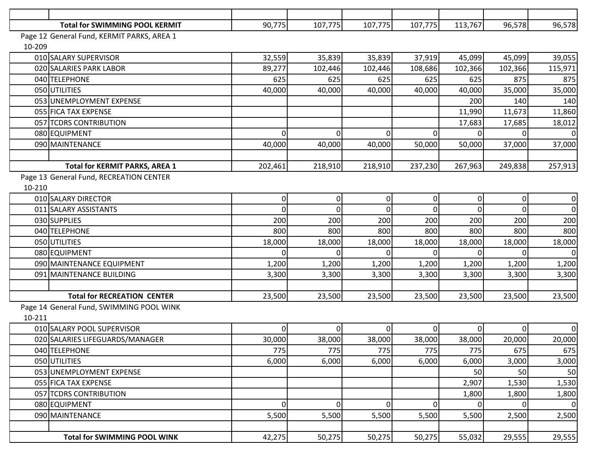|        | <b>Total for SWIMMING POOL KERMIT</b>      | 90,775         | 107,775        | 107,775        | 107,775   | 113,767     | 96,578   | 96,578  |
|--------|--------------------------------------------|----------------|----------------|----------------|-----------|-------------|----------|---------|
|        | Page 12 General Fund, KERMIT PARKS, AREA 1 |                |                |                |           |             |          |         |
| 10-209 |                                            |                |                |                |           |             |          |         |
|        | 010 SALARY SUPERVISOR                      | 32,559         | 35,839         | 35,839         | 37,919    | 45,099      | 45,099   | 39,055  |
|        | 020 SALARIES PARK LABOR                    | 89,277         | 102,446        | 102,446        | 108,686   | 102,366     | 102,366  | 115,971 |
|        | 040 TELEPHONE                              | 625            | 625            | 625            | 625       | 625         | 875      | 875     |
|        | 050 UTILITIES                              | 40,000         | 40,000         | 40,000         | 40,000    | 40,000      | 35,000   | 35,000  |
|        | 053 UNEMPLOYMENT EXPENSE                   |                |                |                |           | 200         | 140      | 140     |
|        | 055 FICA TAX EXPENSE                       |                |                |                |           | 11,990      | 11,673   | 11,860  |
|        | 057 TCDRS CONTRIBUTION                     |                |                |                |           | 17,683      | 17,685   | 18,012  |
|        | 080 EQUIPMENT                              | $\Omega$       | $\Omega$       | 0              | 0         |             |          | 0       |
|        | 090 MAINTENANCE                            | 40,000         | 40,000         | 40,000         | 50,000    | 50,000      | 37,000   | 37,000  |
|        |                                            |                |                |                |           |             |          |         |
|        | <b>Total for KERMIT PARKS, AREA 1</b>      | 202,461        | 218,910        | 218,910        | 237,230   | 267,963     | 249,838  | 257,913 |
|        | Page 13 General Fund, RECREATION CENTER    |                |                |                |           |             |          |         |
| 10-210 |                                            |                |                |                |           |             |          |         |
|        | 010 SALARY DIRECTOR                        | $\overline{0}$ | $\overline{0}$ | $\overline{0}$ | $\pmb{0}$ | $\mathbf 0$ | $\Omega$ | 0       |
|        | 011 SALARY ASSISTANTS                      | 0              | 0              | 0              | $\Omega$  | 0           |          | 0       |
|        | 030 SUPPLIES                               | 200            | 200            | 200            | 200       | 200         | 200      | 200     |
|        | 040 TELEPHONE                              | 800            | 800            | 800            | 800       | 800         | 800      | 800     |
|        | 050 UTILITIES                              | 18,000         | 18,000         | 18,000         | 18,000    | 18,000      | 18,000   | 18,000  |
|        | 080 EQUIPMENT                              |                | $\Omega$       |                |           |             |          | 0       |
|        | 090 MAINTENANCE EQUIPMENT                  | 1,200          | 1,200          | 1,200          | 1,200     | 1,200       | 1,200    | 1,200   |
|        | 091 MAINTENANCE BUILDING                   | 3,300          | 3,300          | 3,300          | 3,300     | 3,300       | 3,300    | 3,300   |
|        |                                            |                |                |                |           |             |          |         |
|        | <b>Total for RECREATION CENTER</b>         | 23,500         | 23,500         | 23,500         | 23,500    | 23,500      | 23,500   | 23,500  |
|        | Page 14 General Fund, SWIMMING POOL WINK   |                |                |                |           |             |          |         |
| 10-211 |                                            |                |                |                |           |             |          |         |
|        | 010 SALARY POOL SUPERVISOR                 | 0              | $\overline{0}$ |                | 0         |             |          | 0       |
|        | 020 SALARIES LIFEGUARDS/MANAGER            | 30,000         | 38,000         | 38,000         | 38,000    | 38,000      | 20,000   | 20,000  |
|        | 040 TELEPHONE                              | 775            | 775            | 775            | 775       | 775         | 675      | 675     |
|        | 050 UTILITIES                              | 6,000          | 6,000          | 6,000          | 6,000     | 6,000       | 3,000    | 3,000   |
|        | 053 UNEMPLOYMENT EXPENSE                   |                |                |                |           | 50          | 50       | 50      |
|        | 055 FICA TAX EXPENSE                       |                |                |                |           | 2,907       | 1,530    | 1,530   |
|        | 057 TCDRS CONTRIBUTION                     |                |                |                |           | 1,800       | 1,800    | 1,800   |
|        | 080 EQUIPMENT                              | 0              | $\overline{0}$ | $\overline{0}$ | 0         |             | 0        | 0       |
|        | 090 MAINTENANCE                            | 5,500          | 5,500          | 5,500          | 5,500     | 5,500       | 2,500    | 2,500   |
|        |                                            |                |                |                |           |             |          |         |
|        | <b>Total for SWIMMING POOL WINK</b>        | 42,275         | 50,275         | 50,275         | 50,275    | 55,032      | 29,555   | 29,555  |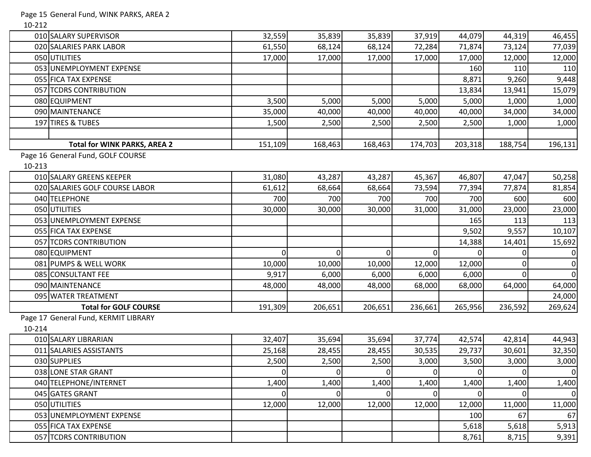Page 15 General Fund, WINK PARKS, AREA 2

10-212

|        | 010 SALARY SUPERVISOR                | 32,559         | 35,839         | 35,839      | 37,919         | 44,079         | 44,319      | 46,455           |
|--------|--------------------------------------|----------------|----------------|-------------|----------------|----------------|-------------|------------------|
|        | 020 SALARIES PARK LABOR              | 61,550         | 68,124         | 68,124      | 72,284         | 71,874         | 73,124      | 77,039           |
|        | 050 UTILITIES                        | 17,000         | 17,000         | 17,000      | 17,000         | 17,000         | 12,000      | 12,000           |
|        | 053 UNEMPLOYMENT EXPENSE             |                |                |             |                | 160            | 110         | 110              |
|        | 055 FICA TAX EXPENSE                 |                |                |             |                | 8,871          | 9,260       | 9,448            |
|        | 057 TCDRS CONTRIBUTION               |                |                |             |                | 13,834         | 13,941      | 15,079           |
|        | 080 EQUIPMENT                        | 3,500          | 5,000          | 5,000       | 5,000          | 5,000          | 1,000       | 1,000            |
|        | 090 MAINTENANCE                      | 35,000         | 40,000         | 40,000      | 40,000         | 40,000         | 34,000      | 34,000           |
|        | 197 TIRES & TUBES                    | 1,500          | 2,500          | 2,500       | 2,500          | 2,500          | 1,000       | 1,000            |
|        |                                      |                |                |             |                |                |             |                  |
|        | <b>Total for WINK PARKS, AREA 2</b>  | 151,109        | 168,463        | 168,463     | 174,703        | 203,318        | 188,754     | 196,131          |
|        | Page 16 General Fund, GOLF COURSE    |                |                |             |                |                |             |                  |
| 10-213 |                                      |                |                |             |                |                |             |                  |
|        | 010 SALARY GREENS KEEPER             | 31,080         | 43,287         | 43,287      | 45,367         | 46,807         | 47,047      | 50,258           |
|        | 020 SALARIES GOLF COURSE LABOR       | 61,612         | 68,664         | 68,664      | 73,594         | 77,394         | 77,874      | 81,854           |
|        | 040 TELEPHONE                        | 700            | 700            | 700         | 700            | 700            | 600         | 600              |
|        | 050 UTILITIES                        | 30,000         | 30,000         | 30,000      | 31,000         | 31,000         | 23,000      | 23,000           |
|        | 053 UNEMPLOYMENT EXPENSE             |                |                |             |                | 165            | 113         | 113              |
|        | 055 FICA TAX EXPENSE                 |                |                |             |                | 9,502          | 9,557       | 10,107           |
|        | 057 TCDRS CONTRIBUTION               |                |                |             |                | 14,388         | 14,401      | 15,692           |
|        | 080 EQUIPMENT                        | $\overline{0}$ | $\overline{0}$ | 0           | $\overline{0}$ | 0              |             | $\mathbf 0$      |
|        | 081 PUMPS & WELL WORK                | 10,000         | 10,000         | 10,000      | 12,000         | 12,000         |             | 0                |
|        | 085 CONSULTANT FEE                   | 9,917          | 6,000          | 6,000       | 6,000          | 6,000          |             | $\mathbf 0$      |
|        | 090 MAINTENANCE                      | 48,000         | 48,000         | 48,000      | 68,000         | 68,000         | 64,000      | 64,000           |
|        | 095 WATER TREATMENT                  |                |                |             |                |                |             | 24,000           |
|        | <b>Total for GOLF COURSE</b>         | 191,309        | 206,651        | 206,651     | 236,661        | 265,956        | 236,592     | 269,624          |
|        | Page 17 General Fund, KERMIT LIBRARY |                |                |             |                |                |             |                  |
| 10-214 |                                      |                |                |             |                |                |             |                  |
|        | 010 SALARY LIBRARIAN                 | 32,407         | 35,694         | 35,694      | 37,774         | 42,574         | 42,814      | 44,943           |
|        | 011 SALARIES ASSISTANTS              | 25,168         | 28,455         | 28,455      | 30,535         | 29,737         | 30,601      | 32,350           |
|        | 030 SUPPLIES                         | 2,500          | 2,500          | 2,500       | 3,000          | 3,500          | 3,000       | 3,000            |
|        | 038 LONE STAR GRANT                  | $\overline{0}$ | $\overline{0}$ | $\mathbf 0$ | $\overline{0}$ | $\overline{0}$ | $\mathbf 0$ | $\boldsymbol{0}$ |
|        | 040 TELEPHONE/INTERNET               | 1,400          | 1,400          | 1,400       | 1,400          | 1,400          | 1,400       | 1,400            |
|        | 045 GATES GRANT                      | $\overline{0}$ | $\overline{0}$ | 0           | $\Omega$       | 0              | 0           | $\boldsymbol{0}$ |
|        | 050 UTILITIES                        | 12,000         | 12,000         | 12,000      | 12,000         | 12,000         | 11,000      | 11,000           |
|        | 053 UNEMPLOYMENT EXPENSE             |                |                |             |                | 100            | 67          | 67               |
|        | 055 FICA TAX EXPENSE                 |                |                |             |                | 5,618          | 5,618       | 5,913            |
|        | 057 TCDRS CONTRIBUTION               |                |                |             |                | 8,761          | 8,715       | 9,391            |
|        |                                      |                |                |             |                |                |             |                  |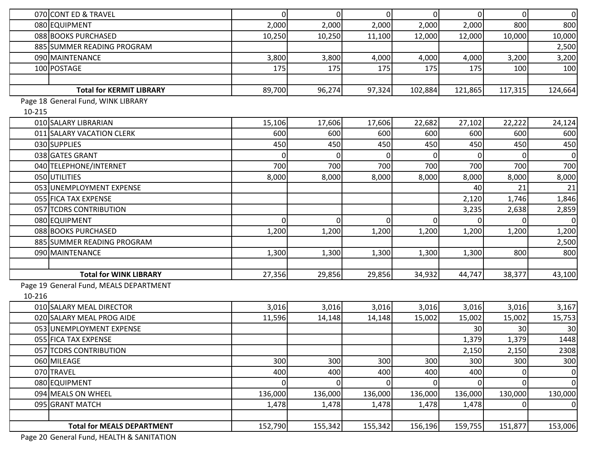|        | 070 CONT ED & TRAVEL                   | $\Omega$       | $\overline{0}$ | $\overline{0}$ | $\overline{0}$ | $\overline{0}$ | $\Omega$ | $\mathbf 0$ |
|--------|----------------------------------------|----------------|----------------|----------------|----------------|----------------|----------|-------------|
|        | 080 EQUIPMENT                          | 2,000          | 2,000          | 2,000          | 2,000          | 2,000          | 800      | 800         |
|        | 088 BOOKS PURCHASED                    | 10,250         | 10,250         | 11,100         | 12,000         | 12,000         | 10,000   | 10,000      |
|        | 885 SUMMER READING PROGRAM             |                |                |                |                |                |          | 2,500       |
|        | 090 MAINTENANCE                        | 3,800          | 3,800          | 4,000          | 4,000          | 4,000          | 3,200    | 3,200       |
|        | 100 POSTAGE                            | 175            | 175            | 175            | 175            | 175            | 100      | 100         |
|        |                                        |                |                |                |                |                |          |             |
|        | <b>Total for KERMIT LIBRARY</b>        | 89,700         | 96,274         | 97,324         | 102,884        | 121,865        | 117,315  | 124,664     |
|        | Page 18 General Fund, WINK LIBRARY     |                |                |                |                |                |          |             |
| 10-215 |                                        |                |                |                |                |                |          |             |
|        | 010 SALARY LIBRARIAN                   | 15,106         | 17,606         | 17,606         | 22,682         | 27,102         | 22,222   | 24,124      |
|        | 011 SALARY VACATION CLERK              | 600            | 600            | 600            | 600            | 600            | 600      | 600         |
|        | 030 SUPPLIES                           | 450            | 450            | 450            | 450            | 450            | 450      | 450         |
|        | 038 GATES GRANT                        | 0              | $\overline{0}$ |                | 0I             |                |          | $\mathbf 0$ |
|        | 040 TELEPHONE/INTERNET                 | 700            | 700            | 700            | 700            | 700            | 700      | 700         |
|        | 050 UTILITIES                          | 8,000          | 8,000          | 8,000          | 8,000          | 8,000          | 8,000    | 8,000       |
|        | 053 UNEMPLOYMENT EXPENSE               |                |                |                |                | 40             | 21       | 21          |
|        | 055 FICA TAX EXPENSE                   |                |                |                |                | 2,120          | 1,746    | 1,846       |
|        | 057 TCDRS CONTRIBUTION                 |                |                |                |                | 3,235          | 2,638    | 2,859       |
|        | 080 EQUIPMENT                          | $\Omega$       | $\Omega$       | 0              | $\overline{0}$ |                |          | $\mathbf 0$ |
|        | 088 BOOKS PURCHASED                    | 1,200          | 1,200          | 1,200          | 1,200          | 1,200          | 1,200    | 1,200       |
|        | 885 SUMMER READING PROGRAM             |                |                |                |                |                |          | 2,500       |
|        | 090 MAINTENANCE                        | 1,300          | 1,300          | 1,300          | 1,300          | 1,300          | 800      | 800         |
|        |                                        |                |                |                |                |                |          |             |
|        | <b>Total for WINK LIBRARY</b>          | 27,356         | 29,856         | 29,856         | 34,932         | 44,747         | 38,377   | 43,100      |
|        | Page 19 General Fund, MEALS DEPARTMENT |                |                |                |                |                |          |             |
| 10-216 |                                        |                |                |                |                |                |          |             |
|        | 010 SALARY MEAL DIRECTOR               | 3,016          | 3,016          | 3,016          | 3,016          | 3,016          | 3,016    | 3,167       |
|        | 020 SALARY MEAL PROG AIDE              | 11,596         | 14,148         | 14,148         | 15,002         | 15,002         | 15,002   | 15,753      |
|        | 053 UNEMPLOYMENT EXPENSE               |                |                |                |                | 30             | 30       | 30          |
|        | 055 FICA TAX EXPENSE                   |                |                |                |                | 1,379          | 1,379    | 1448        |
|        | 057 TCDRS CONTRIBUTION                 |                |                |                |                | 2,150          | 2,150    | 2308        |
|        | 060 MILEAGE                            | 300            | 300            | 300            | 300            | 300            | 300      | 300         |
|        | 070 TRAVEL                             | 400            | 400            | 400            | 400            | 400            | 0        | $\mathbf 0$ |
|        | 080 EQUIPMENT                          | $\overline{0}$ | $\overline{0}$ | $\mathbf 0$    | $\overline{0}$ | 0              | $\Omega$ | $\mathbf 0$ |
|        | 094 MEALS ON WHEEL                     | 136,000        | 136,000        | 136,000        | 136,000        | 136,000        | 130,000  | 130,000     |
|        | 095 GRANT MATCH                        | 1,478          | 1,478          | 1,478          | 1,478          | 1,478          |          | $\mathbf 0$ |
|        |                                        |                |                |                |                |                |          |             |
|        | <b>Total for MEALS DEPARTMENT</b>      | 152,790        | 155,342        | 155,342        | 156,196        | 159,755        | 151,877  | 153,006     |
|        |                                        |                |                |                |                |                |          |             |

Page 20 General Fund, HEALTH & SANITATION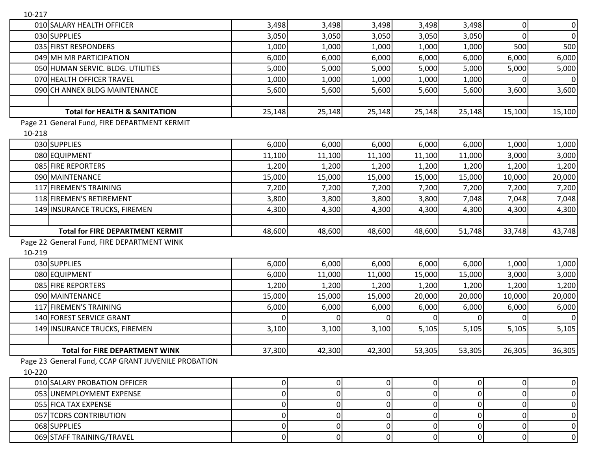| 10-217 |                                                     |          |             |              |                |          |          |                |
|--------|-----------------------------------------------------|----------|-------------|--------------|----------------|----------|----------|----------------|
|        | 010 SALARY HEALTH OFFICER                           | 3,498    | 3,498       | 3,498        | 3,498          | 3,498    | 0        | $\overline{0}$ |
|        | 030 SUPPLIES                                        | 3,050    | 3,050       | 3,050        | 3,050          | 3,050    | 0        | $\overline{0}$ |
|        | 035 FIRST RESPONDERS                                | 1,000    | 1,000       | 1,000        | 1,000          | 1,000    | 500      | 500            |
|        | 049 MH MR PARTICIPATION                             | 6,000    | 6,000       | 6,000        | 6,000          | 6,000    | 6,000    | 6,000          |
|        | 050 HUMAN SERVIC. BLDG. UTILITIES                   | 5,000    | 5,000       | 5,000        | 5,000          | 5,000    | 5,000    | 5,000          |
|        | 070 HEALTH OFFICER TRAVEL                           | 1,000    | 1,000       | 1,000        | 1,000          | 1,000    | 0        |                |
|        | 090 CH ANNEX BLDG MAINTENANCE                       | 5,600    | 5,600       | 5,600        | 5,600          | 5,600    | 3,600    | 3,600          |
|        |                                                     |          |             |              |                |          |          |                |
|        | <b>Total for HEALTH &amp; SANITATION</b>            | 25,148   | 25,148      | 25,148       | 25,148         | 25,148   | 15,100   | 15,100         |
|        | Page 21 General Fund, FIRE DEPARTMENT KERMIT        |          |             |              |                |          |          |                |
| 10-218 |                                                     |          |             |              |                |          |          |                |
|        | 030 SUPPLIES                                        | 6,000    | 6,000       | 6,000        | 6,000          | 6,000    | 1,000    | 1,000          |
|        | 080 EQUIPMENT                                       | 11,100   | 11,100      | 11,100       | 11,100         | 11,000   | 3,000    | 3,000          |
|        | 085 FIRE REPORTERS                                  | 1,200    | 1,200       | 1,200        | 1,200          | 1,200    | 1,200    | 1,200          |
|        | 090 MAINTENANCE                                     | 15,000   | 15,000      | 15,000       | 15,000         | 15,000   | 10,000   | 20,000         |
|        | 117 FIREMEN'S TRAINING                              | 7,200    | 7,200       | 7,200        | 7,200          | 7,200    | 7,200    | 7,200          |
|        | 118 FIREMEN'S RETIREMENT                            | 3,800    | 3,800       | 3,800        | 3,800          | 7,048    | 7,048    | 7,048          |
|        | 149 INSURANCE TRUCKS, FIREMEN                       | 4,300    | 4,300       | 4,300        | 4,300          | 4,300    | 4,300    | 4,300          |
|        |                                                     |          |             |              |                |          |          |                |
|        | <b>Total for FIRE DEPARTMENT KERMIT</b>             | 48,600   | 48,600      | 48,600       | 48,600         | 51,748   | 33,748   | 43,748         |
|        |                                                     |          |             |              |                |          |          |                |
|        | Page 22 General Fund, FIRE DEPARTMENT WINK          |          |             |              |                |          |          |                |
| 10-219 |                                                     |          |             |              |                |          |          |                |
|        | 030 SUPPLIES                                        | 6,000    | 6,000       | 6,000        | 6,000          | 6,000    | 1,000    | 1,000          |
|        | 080 EQUIPMENT                                       | 6,000    | 11,000      | 11,000       | 15,000         | 15,000   | 3,000    | 3,000          |
|        | 085 FIRE REPORTERS                                  | 1,200    | 1,200       | 1,200        | 1,200          | 1,200    | 1,200    | 1,200          |
|        | 090 MAINTENANCE                                     | 15,000   | 15,000      | 15,000       | 20,000         | 20,000   | 10,000   | 20,000         |
|        | 117 FIREMEN'S TRAINING                              | 6,000    | 6,000       | 6,000        | 6,000          | 6,000    | 6,000    | 6,000          |
|        | 140 FOREST SERVICE GRANT                            | $\Omega$ | $\Omega$    | $\Omega$     | ΩI             | $\Omega$ | $\Omega$ |                |
|        | 149 INSURANCE TRUCKS, FIREMEN                       | 3,100    | 3,100       | 3,100        | 5,105          | 5,105    | 5,105    | 5,105          |
|        |                                                     |          |             |              |                |          |          |                |
|        | <b>Total for FIRE DEPARTMENT WINK</b>               | 37,300   | 42,300      | 42,300       | 53,305         | 53,305   | 26,305   | 36,305         |
|        | Page 23 General Fund, CCAP GRANT JUVENILE PROBATION |          |             |              |                |          |          |                |
| 10-220 |                                                     |          |             |              |                |          |          |                |
|        | 010 SALARY PROBATION OFFICER                        | 0        | 0           | 0            | $\overline{0}$ | 0        | 0        | 0              |
|        | 053 UNEMPLOYMENT EXPENSE                            | 0        | $\mathbf 0$ | $\mathbf{0}$ | Οl             | $\Omega$ | 0        | 0              |
|        | 055 FICA TAX EXPENSE                                | 0        | 0           | 0            | ΩI             | 0        |          | 0              |
|        | 057 TCDRS CONTRIBUTION                              | 0        | 0           | 0            | $\Omega$       | 0        | 0        | 0              |
|        | 068 SUPPLIES                                        | 0        |             | 0            | ΟI             | 0        | 0        | 0              |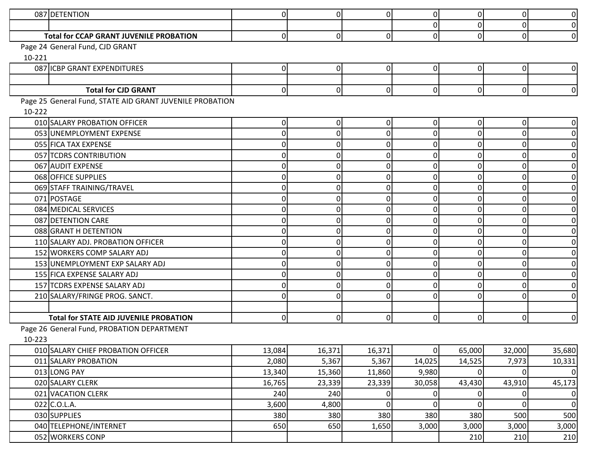|        | 087 DETENTION                                            | $\overline{0}$ | $\overline{0}$ | $\overline{0}$ | $\Omega$       | 0        | $\Omega$    | $\overline{0}$   |
|--------|----------------------------------------------------------|----------------|----------------|----------------|----------------|----------|-------------|------------------|
|        |                                                          |                |                |                | $\Omega$       |          | $\mathbf 0$ | $\overline{0}$   |
|        | <b>Total for CCAP GRANT JUVENILE PROBATION</b>           | $\overline{0}$ | $\overline{0}$ | 0              | $\Omega$       | 0        | $\Omega$    | $\overline{0}$   |
|        | Page 24 General Fund, CJD GRANT                          |                |                |                |                |          |             |                  |
| 10-221 |                                                          |                |                |                |                |          |             |                  |
|        | 087 ICBP GRANT EXPENDITURES                              | 0              | 0              | 0              | $\Omega$       |          | 0           | $\overline{0}$   |
|        |                                                          |                |                |                |                |          |             |                  |
|        | <b>Total for CJD GRANT</b>                               | $\overline{0}$ | $\overline{0}$ | 0              | $\overline{0}$ | $\Omega$ | $\Omega$    | $\overline{0}$   |
|        | Page 25 General Fund, STATE AID GRANT JUVENILE PROBATION |                |                |                |                |          |             |                  |
| 10-222 |                                                          |                |                |                |                |          |             |                  |
|        | 010 SALARY PROBATION OFFICER                             | 01             | 0              | 0              | $\Omega$       |          | 0           | $\overline{0}$   |
|        | 053 UNEMPLOYMENT EXPENSE                                 | 0              | 0              | $\mathbf 0$    | 0              |          | $\bigcap$   | 0                |
|        | 055 FICA TAX EXPENSE                                     | 0              | 0              | $\bigcap$      | U              |          | O           | $\boldsymbol{0}$ |
|        | 057 TCDRS CONTRIBUTION                                   | ΩI             | 0              | $\mathbf 0$    | $\Omega$       |          | $\Omega$    | $\mathbf 0$      |
|        | 067 AUDIT EXPENSE                                        | 0              | $\Omega$       | $\Omega$       | $\Omega$       |          | $\Omega$    | 0                |
|        | 068 OFFICE SUPPLIES                                      |                | 0              | O              |                |          |             | 0                |
|        | 069 STAFF TRAINING/TRAVEL                                |                | 0              | O              | U              |          |             | $\mathbf 0$      |
|        | 071 POSTAGE                                              | U              | 0              | O              | U              |          | $\bigcap$   | $\boldsymbol{0}$ |
|        | 084 MEDICAL SERVICES                                     | 0              | 0              | 0              | O.             |          | n           | $\mathbf 0$      |
|        | 087 DETENTION CARE                                       |                | 0              | O              | O              |          | O           | 0                |
|        | 088 GRANT H DETENTION                                    | ΩI             | 0              | $\bigcap$      | 0              |          | $\bigcap$   | $\boldsymbol{0}$ |
|        | 110 SALARY ADJ. PROBATION OFFICER                        | U              | 0              | O              | U              |          | 0           | $\boldsymbol{0}$ |
|        | 152 WORKERS COMP SALARY ADJ                              | 0              | 0              | $\bigcap$      | $\Omega$       |          | $\bigcap$   | $\boldsymbol{0}$ |
|        | 153 UNEMPLOYMENT EXP SALARY ADJ                          | U              | 0              | O              | O              |          | O           | $\mathbf 0$      |
|        | 155 FICA EXPENSE SALARY ADJ                              | U              | 0              | C              |                |          | $\Omega$    | 0                |
|        | 157 TCDRS EXPENSE SALARY ADJ                             | 0              | 0              | 0              | $\Omega$       |          | O           | $\boldsymbol{0}$ |
|        | 210 SALARY/FRINGE PROG. SANCT.                           | $\Omega$       | 0              | $\Omega$       | $\Omega$       |          | $\Omega$    | $\overline{0}$   |
|        |                                                          |                |                |                |                |          |             |                  |
|        | <b>Total for STATE AID JUVENILE PROBATION</b>            | $\overline{0}$ | $\overline{0}$ | 0              | $\Omega$       | 0        | 0           | $\overline{0}$   |
|        | Page 26 General Fund, PROBATION DEPARTMENT               |                |                |                |                |          |             |                  |
| 10-223 |                                                          |                |                |                |                |          |             |                  |
|        | 010 SALARY CHIEF PROBATION OFFICER                       | 13,084         | 16,371         | 16,371         | $\overline{0}$ | 65,000   | 32,000      | 35,680           |
|        | 011 SALARY PROBATION                                     | 2,080          | 5,367          | 5,367          | 14,025         | 14,525   | 7,973       | 10,331           |
|        | 013 LONG PAY                                             | 13,340         | 15,360         | 11,860         | 9,980          | $\Omega$ | $\Omega$    | 0                |
|        | 020 SALARY CLERK                                         | 16,765         | 23,339         | 23,339         | 30,058         | 43,430   | 43,910      | 45,173           |
|        | 021 VACATION CLERK                                       | 240            | 240            | 0              | 0              |          |             | 0                |
|        | 022 C.O.L.A.                                             | 3,600          | 4,800          | $\overline{0}$ | $\Omega$       | $\Omega$ | $\mathbf 0$ | 0                |
|        | 030 SUPPLIES                                             | 380            | 380            | 380            | 380            | 380      | 500         | 500              |
|        | 040 TELEPHONE/INTERNET                                   | 650            | 650            | 1,650          | 3,000          | 3,000    | 3,000       | 3,000            |
|        | 052 WORKERS CONP                                         |                |                |                |                | 210      | 210         | 210              |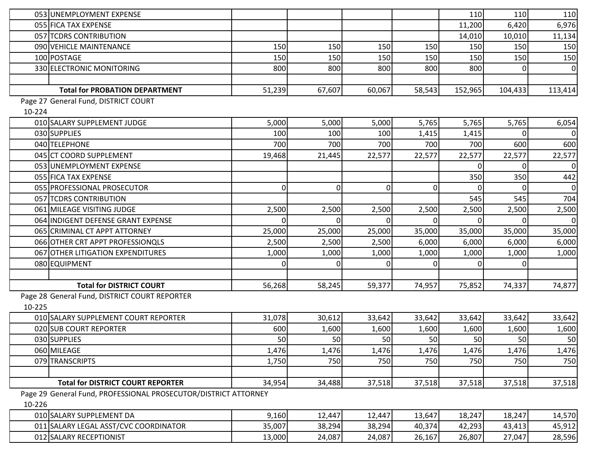| 053 UNEMPLOYMENT EXPENSE                                        |                |                |          |                | 110     | 110     | 110     |
|-----------------------------------------------------------------|----------------|----------------|----------|----------------|---------|---------|---------|
| 055 FICA TAX EXPENSE                                            |                |                |          |                | 11,200  | 6,420   | 6,976   |
| 057 TCDRS CONTRIBUTION                                          |                |                |          |                | 14,010  | 10,010  | 11,134  |
| 090 VEHICLE MAINTENANCE                                         | 150            | 150            | 150      | 150            | 150     | 150     | 150     |
| 100 POSTAGE                                                     | 150            | 150            | 150      | 150            | 150     | 150     | 150     |
| 330 ELECTRONIC MONITORING                                       | 800            | 800            | 800      | 800            | 800     |         | 0       |
|                                                                 |                |                |          |                |         |         |         |
| <b>Total for PROBATION DEPARTMENT</b>                           | 51,239         | 67,607         | 60,067   | 58,543         | 152,965 | 104,433 | 113,414 |
| Page 27 General Fund, DISTRICT COURT                            |                |                |          |                |         |         |         |
| 10-224                                                          |                |                |          |                |         |         |         |
| 010 SALARY SUPPLEMENT JUDGE                                     | 5,000          | 5,000          | 5,000    | 5,765          | 5,765   | 5,765   | 6,054   |
| 030 SUPPLIES                                                    | 100            | 100            | 100      | 1,415          | 1,415   |         | 0       |
| 040 TELEPHONE                                                   | 700            | 700            | 700      | 700            | 700     | 600     | 600     |
| 045 CT COORD SUPPLEMENT                                         | 19,468         | 21,445         | 22,577   | 22,577         | 22,577  | 22,577  | 22,577  |
| 053 UNEMPLOYMENT EXPENSE                                        |                |                |          |                |         |         | 0       |
| 055 FICA TAX EXPENSE                                            |                |                |          |                | 350     | 350     | 442     |
| 055 PROFESSIONAL PROSECUTOR                                     | $\overline{0}$ | $\overline{0}$ | $\Omega$ | $\overline{0}$ |         |         | 0       |
| 057 TCDRS CONTRIBUTION                                          |                |                |          |                | 545     | 545     | 704     |
| 061 MILEAGE VISITING JUDGE                                      | 2,500          | 2,500          | 2,500    | 2,500          | 2,500   | 2,500   | 2,500   |
| 064 INDIGENT DEFENSE GRANT EXPENSE                              |                | ΩI             |          |                |         |         | 0       |
| 065 CRIMINAL CT APPT ATTORNEY                                   | 25,000         | 25,000         | 25,000   | 35,000         | 35,000  | 35,000  | 35,000  |
| 066 OTHER CRT APPT PROFESSIONQLS                                | 2,500          | 2,500          | 2,500    | 6,000          | 6,000   | 6,000   | 6,000   |
| 067 OTHER LITIGATION EXPENDITURES                               | 1,000          | 1,000          | 1,000    | 1,000          | 1,000   | 1,000   | 1,000   |
| 080 EQUIPMENT                                                   | 0              | $\Omega$       |          | ΩI             |         |         |         |
|                                                                 |                |                |          |                |         |         |         |
| <b>Total for DISTRICT COURT</b>                                 | 56,268         | 58,245         | 59,377   | 74,957         | 75,852  | 74,337  | 74,877  |
| Page 28 General Fund, DISTRICT COURT REPORTER                   |                |                |          |                |         |         |         |
| 10-225                                                          |                |                |          |                |         |         |         |
| 010 SALARY SUPPLEMENT COURT REPORTER                            | 31,078         | 30,612         | 33,642   | 33,642         | 33,642  | 33,642  | 33,642  |
| 020 SUB COURT REPORTER                                          | 600            | 1,600          | 1,600    | 1,600          | 1,600   | 1,600   | 1,600   |
| 030 SUPPLIES                                                    | 50             | 50             | 50       | 50             | 50      | 50      | 50      |
| 060 MILEAGE                                                     | 1,476          | 1,476          | 1,476    | 1,476          | 1,476   | 1,476   | 1,476   |
| 079 TRANSCRIPTS                                                 | 1,750          | 750            | 750      | 750            | 750     | 750     | 750     |
|                                                                 |                |                |          |                |         |         |         |
| <b>Total for DISTRICT COURT REPORTER</b>                        | 34,954         | 34,488         | 37,518   | 37,518         | 37,518  | 37,518  | 37,518  |
| Page 29 General Fund, PROFESSIONAL PROSECUTOR/DISTRICT ATTORNEY |                |                |          |                |         |         |         |
| 10-226                                                          |                |                |          |                |         |         |         |
| 010 SALARY SUPPLEMENT DA                                        | 9,160          | 12,447         | 12,447   | 13,647         | 18,247  | 18,247  | 14,570  |
| 011 SALARY LEGAL ASST/CVC COORDINATOR                           | 35,007         | 38,294         | 38,294   | 40,374         | 42,293  | 43,413  | 45,912  |
| 012 SALARY RECEPTIONIST                                         | 13,000         | 24,087         | 24,087   | 26,167         | 26,807  | 27,047  | 28,596  |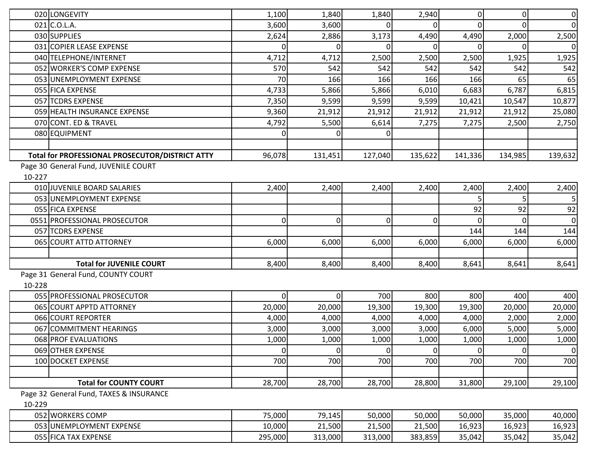|        | 020 LONGEVITY                                   | 1,100          | 1,840          | 1,840          | 2,940          | $\overline{0}$ | $\mathbf 0$ | $\overline{0}$ |
|--------|-------------------------------------------------|----------------|----------------|----------------|----------------|----------------|-------------|----------------|
|        | $021$ C.O.L.A.                                  | 3,600          | 3,600          |                | $\Omega$       | 0              | ∩           | $\overline{0}$ |
|        | 030 SUPPLIES                                    | 2,624          | 2,886          | 3,173          | 4,490          | 4,490          | 2,000       | 2,500          |
|        | 031 COPIER LEASE EXPENSE                        | ΩI             | $\overline{0}$ |                | $\Omega$       | 0              |             | 0              |
|        | 040 TELEPHONE/INTERNET                          | 4,712          | 4,712          | 2,500          | 2,500          | 2,500          | 1,925       | 1,925          |
|        | 052 WORKER'S COMP EXPENSE                       | 570            | 542            | 542            | 542            | 542            | 542         | 542            |
|        | 053 UNEMPLOYMENT EXPENSE                        | 70             | 166            | 166            | 166            | 166            | 65          | 65             |
|        | 055 FICA EXPENSE                                | 4,733          | 5,866          | 5,866          | 6,010          | 6,683          | 6,787       | 6,815          |
|        | 057 TCDRS EXPENSE                               | 7,350          | 9,599          | 9,599          | 9,599          | 10,421         | 10,547      | 10,877         |
|        | 059 HEALTH INSURANCE EXPENSE                    | 9,360          | 21,912         | 21,912         | 21,912         | 21,912         | 21,912      | 25,080         |
|        | 070 CONT. ED & TRAVEL                           | 4,792          | 5,500          | 6,614          | 7,275          | 7,275          | 2,500       | 2,750          |
|        | 080 EQUIPMENT                                   | 01             | 0              |                |                |                |             |                |
|        |                                                 |                |                |                |                |                |             |                |
|        | Total for PROFESSIONAL PROSECUTOR/DISTRICT ATTY | 96,078         | 131,451        | 127,040        | 135,622        | 141,336        | 134,985     | 139,632        |
|        | Page 30 General Fund, JUVENILE COURT            |                |                |                |                |                |             |                |
| 10-227 |                                                 |                |                |                |                |                |             |                |
|        | 010 JUVENILE BOARD SALARIES                     | 2,400          | 2,400          | 2,400          | 2,400          | 2,400          | 2,400       | 2,400          |
|        | 053 UNEMPLOYMENT EXPENSE                        |                |                |                |                |                |             | 5 <sup>1</sup> |
|        | 055 FICA EXPENSE                                |                |                |                |                | 92             | 92          | 92             |
|        | 0551 PROFESSIONAL PROSECUTOR                    | $\overline{0}$ | $\overline{0}$ | 0              | $\overline{0}$ |                |             | $\overline{0}$ |
|        | 057 TCDRS EXPENSE                               |                |                |                |                | 144            | 144         | 144            |
|        | 065 COURT ATTD ATTORNEY                         | 6,000          | 6,000          | 6,000          | 6,000          | 6,000          | 6,000       | 6,000          |
|        |                                                 |                |                |                |                |                |             |                |
|        | <b>Total for JUVENILE COURT</b>                 | 8,400          | 8,400          | 8,400          | 8,400          | 8,641          | 8,641       | 8,641          |
|        | Page 31 General Fund, COUNTY COURT              |                |                |                |                |                |             |                |
| 10-228 |                                                 |                |                |                |                |                |             |                |
|        | 055 PROFESSIONAL PROSECUTOR                     | $\overline{0}$ | $\overline{0}$ | 700            | 800            | 800            | 400         | 400            |
|        | 065 COURT APPTD ATTORNEY                        | 20,000         | 20,000         | 19,300         | 19,300         | 19,300         | 20,000      | 20,000         |
|        | 066 COURT REPORTER                              | 4,000          | 4,000          | 4,000          | 4,000          | 4,000          | 2,000       | 2,000          |
|        | 067 COMMITMENT HEARINGS                         | 3,000          | 3,000          | 3,000          | 3,000          | 6,000          | 5,000       | 5,000          |
|        | 068 PROF EVALUATIONS                            | 1,000          | 1,000          | 1,000          | 1,000          | 1,000          | 1,000       | 1,000          |
|        | 069 OTHER EXPENSE                               | $\overline{0}$ | 0              | $\overline{0}$ | $\overline{0}$ | $\Omega$       | $\mathbf 0$ | $\overline{0}$ |
|        | 100 DOCKET EXPENSE                              | 700            | 700            | 700            | 700            | 700            | 700         | 700            |
|        |                                                 |                |                |                |                |                |             |                |
|        | <b>Total for COUNTY COURT</b>                   | 28,700         | 28,700         | 28,700         | 28,800         | 31,800         | 29,100      | 29,100         |
|        | Page 32 General Fund, TAXES & INSURANCE         |                |                |                |                |                |             |                |
| 10-229 |                                                 |                |                |                |                |                |             |                |
|        | 052 WORKERS COMP                                | 75,000         | 79,145         | 50,000         | 50,000         | 50,000         | 35,000      | 40,000         |
|        | 053 UNEMPLOYMENT EXPENSE                        | 10,000         | 21,500         | 21,500         | 21,500         | 16,923         | 16,923      | 16,923         |
|        | 055 FICA TAX EXPENSE                            | 295,000        | 313,000        | 313,000        | 383,859        | 35,042         | 35,042      | 35,042         |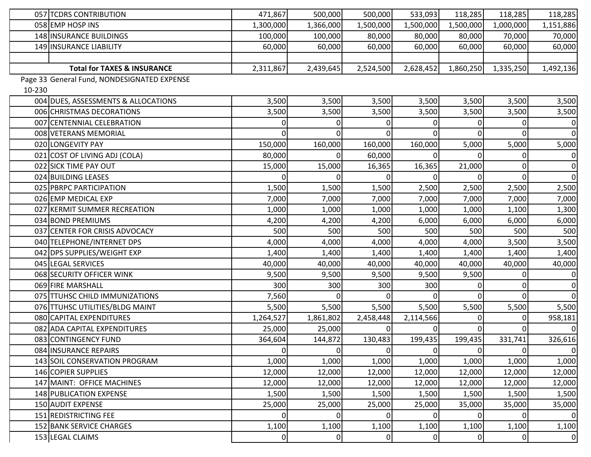|        | 057 TCDRS CONTRIBUTION                      | 471,867        | 500,000        | 500,000        | 533,093        | 118,285        | 118,285        | 118,285     |
|--------|---------------------------------------------|----------------|----------------|----------------|----------------|----------------|----------------|-------------|
|        | 058 EMP HOSP INS                            | 1,300,000      | 1,366,000      | 1,500,000      | 1,500,000      | 1,500,000      | 1,000,000      | 1,151,886   |
|        | 148 INSURANCE BUILDINGS                     | 100,000        | 100,000        | 80,000         | 80,000         | 80,000         | 70,000         | 70,000      |
|        | 149 INSURANCE LIABILITY                     | 60,000         | 60,000         | 60,000         | 60,000         | 60,000         | 60,000         | 60,000      |
|        |                                             |                |                |                |                |                |                |             |
|        | <b>Total for TAXES &amp; INSURANCE</b>      | 2,311,867      | 2,439,645      | 2,524,500      | 2,628,452      | 1,860,250      | 1,335,250      | 1,492,136   |
|        | Page 33 General Fund, NONDESIGNATED EXPENSE |                |                |                |                |                |                |             |
| 10-230 |                                             |                |                |                |                |                |                |             |
|        | 004 DUES, ASSESSMENTS & ALLOCATIONS         | 3,500          | 3,500          | 3,500          | 3,500          | 3,500          | 3,500          | 3,500       |
|        | 006 CHRISTMAS DECORATIONS                   | 3,500          | 3,500          | 3,500          | 3,500          | 3,500          | 3,500          | 3,500       |
|        | 007 CENTENNIAL CELEBRATION                  |                | $\Omega$       |                |                |                |                | $\mathbf 0$ |
|        | 008 VETERANS MEMORIAL                       |                | $\Omega$       |                |                |                |                | $\mathbf 0$ |
|        | 020 LONGEVITY PAY                           | 150,000        | 160,000        | 160,000        | 160,000        | 5,000          | 5,000          | 5,000       |
|        | 021 COST OF LIVING ADJ (COLA)               | 80,000         | $\Omega$       | 60,000         |                |                | 0              | $\mathbf 0$ |
|        | 022 SICK TIME PAY OUT                       | 15,000         | 15,000         | 16,365         | 16,365         | 21,000         | 0              | 0           |
|        | 024 BUILDING LEASES                         |                | 0              |                |                |                | ΩI             | $\mathbf 0$ |
|        | 025 PBRPC PARTICIPATION                     | 1,500          | 1,500          | 1,500          | 2,500          | 2,500          | 2,500          | 2,500       |
|        | 026 EMP MEDICAL EXP                         | 7,000          | 7,000          | 7,000          | 7,000          | 7,000          | 7,000          | 7,000       |
|        | 027 KERMIT SUMMER RECREATION                | 1,000          | 1,000          | 1,000          | 1,000          | 1,000          | 1,100          | 1,300       |
|        | 034 BOND PREMIUMS                           | 4,200          | 4,200          | 4,200          | 6,000          | 6,000          | 6,000          | 6,000       |
|        | 037 CENTER FOR CRISIS ADVOCACY              | 500            | 500            | 500            | 500            | 500            | 500            | 500         |
|        | 040 TELEPHONE/INTERNET DPS                  | 4,000          | 4,000          | 4,000          | 4,000          | 4,000          | 3,500          | 3,500       |
|        | 042 DPS SUPPLIES/WEIGHT EXP                 | 1,400          | 1,400          | 1,400          | 1,400          | 1,400          | 1,400          | 1,400       |
|        | 045 LEGAL SERVICES                          | 40,000         | 40,000         | 40,000         | 40,000         | 40,000         | 40,000         | 40,000      |
|        | 068 SECURITY OFFICER WINK                   | 9,500          | 9,500          | 9,500          | 9,500          | 9,500          | 0              | $\pmb{0}$   |
|        | 069 FIRE MARSHALL                           | 300            | 300            | 300            | 300            |                |                | $\mathbf 0$ |
|        | 075 TTUHSC CHILD IMMUNIZATIONS              | 7,560          | 0              | 0              |                |                | $\Omega$       | $\mathbf 0$ |
|        | 076 TTUHSC UTILITIES/BLDG MAINT             | 5,500          | 5,500          | 5,500          | 5,500          | 5,500          | 5,500          | 5,500       |
|        | 080 CAPITAL EXPENDITURES                    | 1,264,527      | 1,861,802      | 2,458,448      | 2,114,566      |                |                | 958,181     |
|        | 082 ADA CAPITAL EXPENDITURES                | 25,000         | 25,000         |                |                |                |                | $\mathbf 0$ |
|        | 083 CONTINGENCY FUND                        | 364,604        | 144,872        | 130,483        | 199,435        | 199,435        | 331,741        | 326,616     |
|        | 084 INSURANCE REPAIRS                       | $\Omega$       | $\overline{0}$ | $\overline{0}$ | $\overline{0}$ | $\overline{0}$ | $\overline{0}$ | $\mathbf 0$ |
|        | 143 SOIL CONSERVATION PROGRAM               | 1,000          | 1,000          | 1,000          | 1,000          | 1,000          | 1,000          | 1,000       |
|        | 146 COPIER SUPPLIES                         | 12,000         | 12,000         | 12,000         | 12,000         | 12,000         | 12,000         | 12,000      |
|        | 147 MAINT: OFFICE MACHINES                  | 12,000         | 12,000         | 12,000         | 12,000         | 12,000         | 12,000         | 12,000      |
|        | 148 PUBLICATION EXPENSE                     | 1,500          | 1,500          | 1,500          | 1,500          | 1,500          | 1,500          | 1,500       |
|        | 150 AUDIT EXPENSE                           | 25,000         | 25,000         | 25,000         | 25,000         | 35,000         | 35,000         | 35,000      |
|        | 151 REDISTRICTING FEE                       | 0              | $\overline{0}$ | 0              | $\overline{0}$ |                | 01             | $\mathbf 0$ |
|        | 152 BANK SERVICE CHARGES                    | 1,100          | 1,100          | 1,100          | 1,100          | 1,100          | 1,100          | 1,100       |
|        | 153 LEGAL CLAIMS                            | $\overline{0}$ | 01             | 01             | $\Omega$       | 0              | 0              | $\mathbf 0$ |
|        |                                             |                |                |                |                |                |                |             |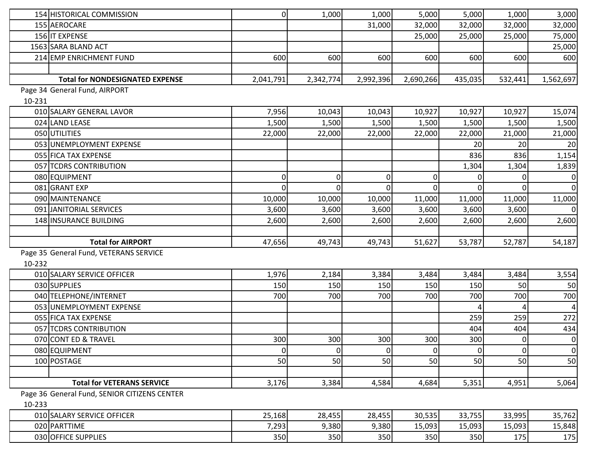|        | 154 HISTORICAL COMMISSION                    | $\overline{0}$ | 1,000          | 1,000          | 5,000          | 5,000       | 1,000          | 3,000            |
|--------|----------------------------------------------|----------------|----------------|----------------|----------------|-------------|----------------|------------------|
|        | 155 AEROCARE                                 |                |                | 31,000         | 32,000         | 32,000      | 32,000         | 32,000           |
|        | 156 IT EXPENSE                               |                |                |                | 25,000         | 25,000      | 25,000         | 75,000           |
|        | 1563 SARA BLAND ACT                          |                |                |                |                |             |                | 25,000           |
|        | 214 EMP ENRICHMENT FUND                      | 600            | 600            | 600            | 600            | 600         | 600            | 600              |
|        |                                              |                |                |                |                |             |                |                  |
|        | <b>Total for NONDESIGNATED EXPENSE</b>       | 2,041,791      | 2,342,774      | 2,992,396      | 2,690,266      | 435,035     | 532,441        | 1,562,697        |
|        | Page 34 General Fund, AIRPORT                |                |                |                |                |             |                |                  |
| 10-231 |                                              |                |                |                |                |             |                |                  |
|        | 010 SALARY GENERAL LAVOR                     | 7,956          | 10,043         | 10,043         | 10,927         | 10,927      | 10,927         | 15,074           |
|        | 024 LAND LEASE                               | 1,500          | 1,500          | 1,500          | 1,500          | 1,500       | 1,500          | 1,500            |
|        | 050 UTILITIES                                | 22,000         | 22,000         | 22,000         | 22,000         | 22,000      | 21,000         | 21,000           |
|        | 053 UNEMPLOYMENT EXPENSE                     |                |                |                |                | 20          | 20             | 20               |
|        | 055 FICA TAX EXPENSE                         |                |                |                |                | 836         | 836            | 1,154            |
|        | 057 TCDRS CONTRIBUTION                       |                |                |                |                | 1,304       | 1,304          | 1,839            |
|        | 080 EQUIPMENT                                | $\overline{0}$ | $\overline{0}$ | 0              | 0              |             |                | $\mathbf 0$      |
|        | 081 GRANT EXP                                | $\overline{0}$ | $\overline{0}$ |                |                |             |                | $\mathbf 0$      |
|        | 090 MAINTENANCE                              | 10,000         | 10,000         | 10,000         | 11,000         | 11,000      | 11,000         | 11,000           |
|        | 091 JANITORIAL SERVICES                      | 3,600          | 3,600          | 3,600          | 3,600          | 3,600       | 3,600          | $\mathbf 0$      |
|        | 148 INSURANCE BUILDING                       | 2,600          | 2,600          | 2,600          | 2,600          | 2,600       | 2,600          | 2,600            |
|        |                                              |                |                |                |                |             |                |                  |
|        | <b>Total for AIRPORT</b>                     | 47,656         | 49,743         | 49,743         | 51,627         | 53,787      | 52,787         | 54,187           |
|        | Page 35 General Fund, VETERANS SERVICE       |                |                |                |                |             |                |                  |
| 10-232 |                                              |                |                |                |                |             |                |                  |
|        | 010 SALARY SERVICE OFFICER                   | 1,976          | 2,184          | 3,384          | 3,484          | 3,484       | 3,484          | 3,554            |
|        | 030 SUPPLIES                                 | 150            | 150            | 150            | 150            | 150         | 50             | 50               |
|        | 040 TELEPHONE/INTERNET                       | 700            | 700            | 700            | 700            | 700         | 700            | 700              |
|        | 053 UNEMPLOYMENT EXPENSE                     |                |                |                |                |             |                | 4                |
|        | 055 FICA TAX EXPENSE                         |                |                |                |                | 259         | 259            | 272              |
|        | 057 TCDRS CONTRIBUTION                       |                |                |                |                | 404         | 404            | 434              |
|        | 070 CONT ED & TRAVEL                         | 300            | 300            | 300            | 300            | 300         | $\overline{0}$ | $\mathbf 0$      |
|        | 080 EQUIPMENT                                | $\overline{0}$ | $\overline{0}$ | $\overline{0}$ | $\overline{0}$ | $\mathbf 0$ | $\mathbf 0$    | $\boldsymbol{0}$ |
|        | 100 POSTAGE                                  | 50             | 50             | 50             | 50             | 50          | 50             | 50               |
|        |                                              |                |                |                |                |             |                |                  |
|        | <b>Total for VETERANS SERVICE</b>            | 3,176          | 3,384          | 4,584          | 4,684          | 5,351       | 4,951          | 5,064            |
|        | Page 36 General Fund, SENIOR CITIZENS CENTER |                |                |                |                |             |                |                  |
| 10-233 |                                              |                |                |                |                |             |                |                  |
|        | 010 SALARY SERVICE OFFICER                   | 25,168         | 28,455         | 28,455         | 30,535         | 33,755      | 33,995         | 35,762           |
|        | 020 PARTTIME                                 | 7,293          | 9,380          | 9,380          | 15,093         | 15,093      | 15,093         | 15,848           |
|        | 030 OFFICE SUPPLIES                          | 350            | 350            | 350            | 350            | 350         | 175            | 175              |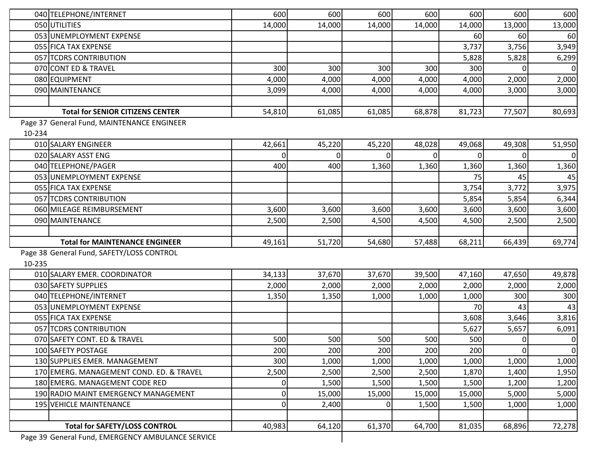|        | 040 TELEPHONE/INTERNET                     | 600            | 600      | 600      | 600    | 600    | 600            | 600         |
|--------|--------------------------------------------|----------------|----------|----------|--------|--------|----------------|-------------|
|        | 050 UTILITIES                              | 14,000         | 14,000   | 14,000   | 14,000 | 14,000 | 13,000         | 13,000      |
|        | 053 UNEMPLOYMENT EXPENSE                   |                |          |          |        | 60     | 60             | 60          |
|        | 055 FICA TAX EXPENSE                       |                |          |          |        | 3,737  | 3,756          | 3,949       |
|        | 057 TCDRS CONTRIBUTION                     |                |          |          |        | 5,828  | 5,828          | 6,299       |
|        | 070 CONT ED & TRAVEL                       | 300            | 300      | 300      | 300    | 300    |                | $\mathbf 0$ |
|        | 080 EQUIPMENT                              | 4,000          | 4,000    | 4,000    | 4,000  | 4,000  | 2,000          | 2,000       |
|        | 090 MAINTENANCE                            | 3,099          | 4,000    | 4,000    | 4,000  | 4,000  | 3,000          | 3,000       |
|        |                                            |                |          |          |        |        |                |             |
|        | <b>Total for SENIOR CITIZENS CENTER</b>    | 54,810         | 61,085   | 61,085   | 68,878 | 81,723 | 77,507         | 80,693      |
|        | Page 37 General Fund, MAINTENANCE ENGINEER |                |          |          |        |        |                |             |
| 10-234 |                                            |                |          |          |        |        |                |             |
|        | 010 SALARY ENGINEER                        | 42,661         | 45,220   | 45,220   | 48,028 | 49,068 | 49,308         | 51,950      |
|        | 020 SALARY ASST ENG                        | $\Omega$       | $\Omega$ |          |        |        | $\Omega$       | $\mathbf 0$ |
|        | 040 TELEPHONE/PAGER                        | 400            | 400      | 1,360    | 1,360  | 1,360  | 1,360          | 1,360       |
|        | 053 UNEMPLOYMENT EXPENSE                   |                |          |          |        | 75     | 45             | 45          |
|        | 055 FICA TAX EXPENSE                       |                |          |          |        | 3,754  | 3,772          | 3,975       |
|        | 057 TCDRS CONTRIBUTION                     |                |          |          |        | 5,854  | 5,854          | 6,344       |
|        | 060 MILEAGE REIMBURSEMENT                  | 3,600          | 3,600    | 3,600    | 3,600  | 3,600  | 3,600          | 3,600       |
|        | 090 MAINTENANCE                            | 2,500          | 2,500    | 4,500    | 4,500  | 4,500  | 2,500          | 2,500       |
|        |                                            |                |          |          |        |        |                |             |
|        | <b>Total for MAINTENANCE ENGINEER</b>      | 49,161         | 51,720   | 54,680   | 57,488 | 68,211 | 66,439         | 69,774      |
|        | Page 38 General Fund, SAFETY/LOSS CONTROL  |                |          |          |        |        |                |             |
| 10-235 |                                            |                |          |          |        |        |                |             |
|        | 010 SALARY EMER. COORDINATOR               | 34,133         | 37,670   | 37,670   | 39,500 | 47,160 | 47,650         | 49,878      |
|        | 030 SAFETY SUPPLIES                        | 2,000          | 2,000    | 2,000    | 2,000  | 2,000  | 2,000          | 2,000       |
|        | 040 TELEPHONE/INTERNET                     | 1,350          | 1,350    | 1,000    | 1,000  | 1,000  | 300            | 300         |
|        | 053 UNEMPLOYMENT EXPENSE                   |                |          |          |        | 70     | 43             | 43          |
|        | 055 FICA TAX EXPENSE                       |                |          |          |        | 3,608  | 3,646          | 3,816       |
|        | 057 TCDRS CONTRIBUTION                     |                |          |          |        | 5,627  | 5,657          | 6,091       |
|        | 070 SAFETY CONT. ED & TRAVEL               | 500            | 500      | 500      | 500    | 500    | $\overline{0}$ | $\mathbf 0$ |
|        | 100 SAFETY POSTAGE                         | 200            | 200      | 200      | 200    | 200    | $\overline{0}$ | $\mathbf 0$ |
|        | 130 SUPPLIES EMER. MANAGEMENT              | 300            | 1,000    | 1,000    | 1,000  | 1,000  | 1,000          | 1,000       |
|        | 170 EMERG. MANAGEMENT COND. ED. & TRAVEL   | 2,500          | 2,500    | 2,500    | 2,500  | 1,870  | 1,400          | 1,950       |
|        | 180 EMERG. MANAGEMENT CODE RED             | 0              | 1,500    | 1,500    | 1,500  | 1,500  | 1,200          | 1,200       |
|        | 190 RADIO MAINT EMERGENCY MANAGEMENT       | 0              | 15,000   | 15,000   | 15,000 | 15,000 | 5,000          | 5,000       |
|        | 195 VEHICLE MAINTENANCE                    | $\overline{0}$ | 2,400    | $\Omega$ | 1,500  | 1,500  | 1,000          | 1,000       |
|        |                                            |                |          |          |        |        |                |             |
|        | <b>Total for SAFETY/LOSS CONTROL</b>       | 40,983         | 64,120   | 61,370   | 64,700 | 81,035 | 68,896         | 72,278      |
|        |                                            |                |          |          |        |        |                |             |

 $\mathbf{I}$ 

Page 39 General Fund, EMERGENCY AMBULANCE SERVICE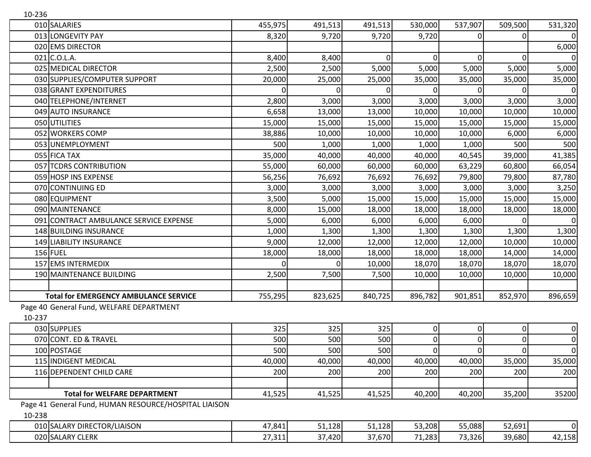| 10-236 |                                                       |         |                |         |                |             |                |          |
|--------|-------------------------------------------------------|---------|----------------|---------|----------------|-------------|----------------|----------|
|        | 010 SALARIES                                          | 455,975 | 491,513        | 491,513 | 530,000        | 537,907     | 509,500        | 531,320  |
|        | 013 LONGEVITY PAY                                     | 8,320   | 9,720          | 9,720   | 9,720          | 0           | $\overline{0}$ | 0        |
|        | 020 EMS DIRECTOR                                      |         |                |         |                |             |                | 6,000    |
|        | $021$ C.O.L.A.                                        | 8,400   | 8,400          | 0       | 0              | $\Omega$    | $\Omega$       | $\Omega$ |
|        | 025 MEDICAL DIRECTOR                                  | 2,500   | 2,500          | 5,000   | 5,000          | 5,000       | 5,000          | 5,000    |
|        | 030 SUPPLIES/COMPUTER SUPPORT                         | 20,000  | 25,000         | 25,000  | 35,000         | 35,000      | 35,000         | 35,000   |
|        | 038 GRANT EXPENDITURES                                | 0       | $\overline{0}$ |         |                |             | 0              | 0        |
|        | 040 TELEPHONE/INTERNET                                | 2,800   | 3,000          | 3,000   | 3,000          | 3,000       | 3,000          | 3,000    |
|        | 049 AUTO INSURANCE                                    | 6,658   | 13,000         | 13,000  | 10,000         | 10,000      | 10,000         | 10,000   |
|        | 050 UTILITIES                                         | 15,000  | 15,000         | 15,000  | 15,000         | 15,000      | 15,000         | 15,000   |
|        | 052 WORKERS COMP                                      | 38,886  | 10,000         | 10,000  | 10,000         | 10,000      | 6,000          | 6,000    |
|        | 053 UNEMPLOYMENT                                      | 500     | 1,000          | 1,000   | 1,000          | 1,000       | 500            | 500      |
|        | 055 FICA TAX                                          | 35,000  | 40,000         | 40,000  | 40,000         | 40,545      | 39,000         | 41,385   |
|        | 057 TCDRS CONTRIBUTION                                | 55,000  | 60,000         | 60,000  | 60,000         | 63,229      | 60,800         | 66,054   |
|        | 059 HOSP INS EXPENSE                                  | 56,256  | 76,692         | 76,692  | 76,692         | 79,800      | 79,800         | 87,780   |
|        | 070 CONTINUING ED                                     | 3,000   | 3,000          | 3,000   | 3,000          | 3,000       | 3,000          | 3,250    |
|        | 080 EQUIPMENT                                         | 3,500   | 5,000          | 15,000  | 15,000         | 15,000      | 15,000         | 15,000   |
|        | 090 MAINTENANCE                                       | 8,000   | 15,000         | 18,000  | 18,000         | 18,000      | 18,000         | 18,000   |
|        | 091 CONTRACT AMBULANCE SERVICE EXPENSE                | 5,000   | 6,000          | 6,000   | 6,000          | 6,000       |                |          |
|        | 148 BUILDING INSURANCE                                | 1,000   | 1,300          | 1,300   | 1,300          | 1,300       | 1,300          | 1,300    |
|        | 149 LIABILITY INSURANCE                               | 9,000   | 12,000         | 12,000  | 12,000         | 12,000      | 10,000         | 10,000   |
|        | 156 FUEL                                              | 18,000  | 18,000         | 18,000  | 18,000         | 18,000      | 14,000         | 14,000   |
|        | 157 EMS INTERMEDIX                                    |         | $\Omega$       | 10,000  | 18,070         | 18,070      | 18,070         | 18,070   |
|        | 190 MAINTENANCE BUILDING                              | 2,500   | 7,500          | 7,500   | 10,000         | 10,000      | 10,000         | 10,000   |
|        |                                                       |         |                |         |                |             |                |          |
|        | <b>Total for EMERGENCY AMBULANCE SERVICE</b>          | 755,295 | 823,625        | 840,725 | 896,782        | 901,851     | 852,970        | 896,659  |
|        | Page 40 General Fund, WELFARE DEPARTMENT              |         |                |         |                |             |                |          |
| 10-237 |                                                       |         |                |         |                |             |                |          |
|        | 030 SUPPLIES                                          | 325     | 325            | 325     | 0              | 0           | 0              | 0        |
|        | 070 CONT. ED & TRAVEL                                 | 500     | 500            | 500     | $\overline{0}$ | $\Omega$    | $\overline{0}$ | 0        |
|        | 100 POSTAGE                                           | 500     | 500            | 500     | 0              | $\mathbf 0$ | $\overline{0}$ | 0        |
|        | 115 INDIGENT MEDICAL                                  | 40,000  | 40,000         | 40,000  | 40,000         | 40,000      | 35,000         | 35,000   |
|        | 116 DEPENDENT CHILD CARE                              | 200     | 200            | 200     | 200            | 200         | 200            | 200      |
|        |                                                       |         |                |         |                |             |                |          |
|        | <b>Total for WELFARE DEPARTMENT</b>                   | 41,525  | 41,525         | 41,525  | 40,200         | 40,200      | 35,200         | 35200    |
|        | Page 41 General Fund, HUMAN RESOURCE/HOSPITAL LIAISON |         |                |         |                |             |                |          |
| 10-238 |                                                       |         |                |         |                |             |                |          |
|        | 010 SALARY DIRECTOR/LIAISON                           | 47,841  | 51,128         | 51,128  | 53,208         | 55,088      | 52,691         | 0        |
|        | 020 SALARY CLERK                                      | 27,311  | 37,420         | 37,670  | 71,283         | 73,326      | 39,680         | 42,158   |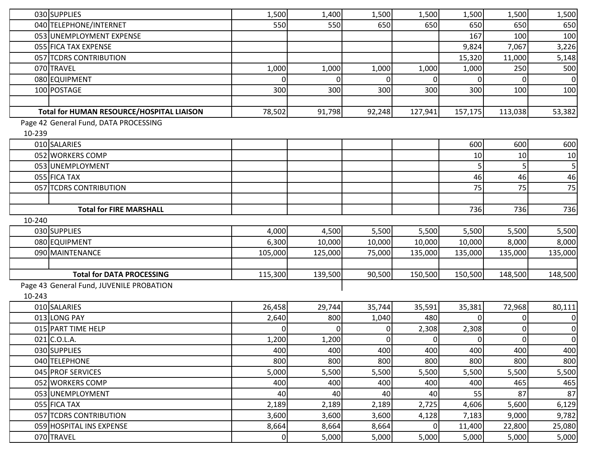|        | 030 SUPPLIES                              | 1,500    | 1,400          | 1,500    | 1,500          | 1,500          | 1,500    | 1,500            |
|--------|-------------------------------------------|----------|----------------|----------|----------------|----------------|----------|------------------|
|        | 040 TELEPHONE/INTERNET                    | 550      | 550            | 650      | 650            | 650            | 650      | 650              |
|        | 053 UNEMPLOYMENT EXPENSE                  |          |                |          |                | 167            | 100      | 100              |
|        | 055 FICA TAX EXPENSE                      |          |                |          |                | 9,824          | 7,067    | 3,226            |
|        | 057 TCDRS CONTRIBUTION                    |          |                |          |                | 15,320         | 11,000   | 5,148            |
|        | 070 TRAVEL                                | 1,000    | 1,000          | 1,000    | 1,000          | 1,000          | 250      | 500              |
|        | 080 EQUIPMENT                             | $\Omega$ | $\overline{0}$ |          | ΟI             | $\Omega$       |          | $\mathbf 0$      |
|        | 100 POSTAGE                               | 300      | 300            | 300      | 300            | 300            | 100      | 100              |
|        |                                           |          |                |          |                |                |          |                  |
|        | Total for HUMAN RESOURCE/HOSPITAL LIAISON | 78,502   | 91,798         | 92,248   | 127,941        | 157,175        | 113,038  | 53,382           |
|        | Page 42 General Fund, DATA PROCESSING     |          |                |          |                |                |          |                  |
| 10-239 |                                           |          |                |          |                |                |          |                  |
|        | 010 SALARIES                              |          |                |          |                | 600            | 600      | 600              |
|        | 052 WORKERS COMP                          |          |                |          |                | 10             | 10       | 10               |
|        | 053 UNEMPLOYMENT                          |          |                |          |                |                |          | 5                |
|        | 055 FICA TAX                              |          |                |          |                | 46             | 46       | 46               |
|        | 057 TCDRS CONTRIBUTION                    |          |                |          |                | 75             | 75       | 75               |
|        |                                           |          |                |          |                |                |          |                  |
|        | <b>Total for FIRE MARSHALL</b>            |          |                |          |                | 736            | 736      | 736              |
| 10-240 |                                           |          |                |          |                |                |          |                  |
|        | 030 SUPPLIES                              | 4,000    | 4,500          | 5,500    | 5,500          | 5,500          | 5,500    | 5,500            |
|        | 080 EQUIPMENT                             | 6,300    | 10,000         | 10,000   | 10,000         | 10,000         | 8,000    | 8,000            |
|        | 090 MAINTENANCE                           | 105,000  | 125,000        | 75,000   | 135,000        | 135,000        | 135,000  | 135,000          |
|        |                                           |          |                |          |                |                |          |                  |
|        | <b>Total for DATA PROCESSING</b>          | 115,300  | 139,500        | 90,500   | 150,500        | 150,500        | 148,500  | 148,500          |
|        | Page 43 General Fund, JUVENILE PROBATION  |          |                |          |                |                |          |                  |
| 10-243 |                                           |          |                |          |                |                |          |                  |
|        | 010 SALARIES                              | 26,458   | 29,744         | 35,744   | 35,591         | 35,381         | 72,968   | 80,111           |
|        | 013 LONG PAY                              | 2,640    | 800            | 1,040    | 480            | $\Omega$       | 0        | 0                |
|        | 015 PART TIME HELP                        |          | $\Omega$       |          | 2,308          | 2,308          | $\Omega$ | $\boldsymbol{0}$ |
|        | 021 C.O.L.A.                              | 1,200    | 1,200          | $\Omega$ | $\overline{0}$ | $\overline{0}$ | 0        | $\mathbf 0$      |
|        | 030 SUPPLIES                              | 400      | 400            | 400      | 400            | 400            | 400      | 400              |
|        | 040 TELEPHONE                             | 800      | 800            | 800      | 800            | 800            | 800      | 800              |
|        | 045 PROF SERVICES                         | 5,000    | 5,500          | 5,500    | 5,500          | 5,500          | 5,500    | 5,500            |
|        | 052 WORKERS COMP                          | 400      | 400            | 400      | 400            | 400            | 465      | 465              |
|        | 053 UNEMPLOYMENT                          | 40       | 40             | 40       | 40             | 55             | 87       | 87               |
|        | 055 FICA TAX                              | 2,189    | 2,189          | 2,189    | 2,725          | 4,606          | 5,600    | 6,129            |
|        | 057 TCDRS CONTRIBUTION                    | 3,600    | 3,600          | 3,600    | 4,128          | 7,183          | 9,000    | 9,782            |
|        | 059 HOSPITAL INS EXPENSE                  | 8,664    | 8,664          | 8,664    | ΟI             | 11,400         | 22,800   | 25,080           |
|        | 070 TRAVEL                                | 0        | 5,000          | 5,000    | 5,000          | 5,000          | 5,000    | 5,000            |
|        |                                           |          |                |          |                |                |          |                  |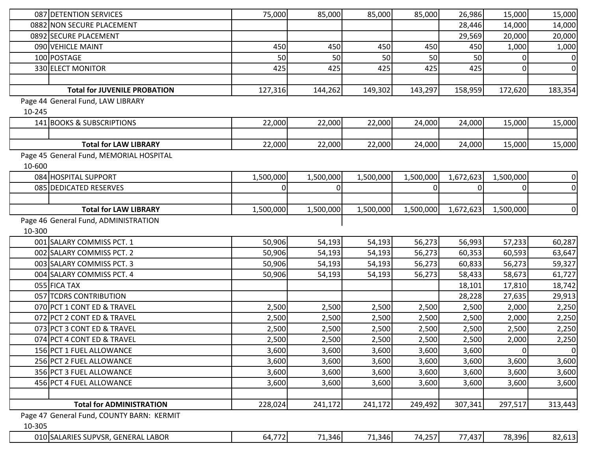|        | 087 DETENTION SERVICES                    | 75,000    | 85,000      | 85,000    | 85,000         | 26,986         | 15,000         | 15,000           |
|--------|-------------------------------------------|-----------|-------------|-----------|----------------|----------------|----------------|------------------|
|        | 0882 NON SECURE PLACEMENT                 |           |             |           |                | 28,446         | 14,000         | 14,000           |
|        | 0892 SECURE PLACEMENT                     |           |             |           |                | 29,569         | 20,000         | 20,000           |
|        | 090 VEHICLE MAINT                         | 450       | 450         | 450       | 450            | 450            | 1,000          | 1,000            |
|        | 100 POSTAGE                               | 50        | 50          | 50        | 50             | 50             | 0              | $\boldsymbol{0}$ |
|        | 330 ELECT MONITOR                         | 425       | 425         | 425       | 425            | 425            | 0              | 0                |
|        |                                           |           |             |           |                |                |                |                  |
|        | <b>Total for JUVENILE PROBATION</b>       | 127,316   | 144,262     | 149,302   | 143,297        | 158,959        | 172,620        | 183,354          |
|        | Page 44 General Fund, LAW LIBRARY         |           |             |           |                |                |                |                  |
| 10-245 |                                           |           |             |           |                |                |                |                  |
|        | 141 BOOKS & SUBSCRIPTIONS                 | 22,000    | 22,000      | 22,000    | 24,000         | 24,000         | 15,000         | 15,000           |
|        |                                           |           |             |           |                |                |                |                  |
|        | <b>Total for LAW LIBRARY</b>              | 22,000    | 22,000      | 22,000    | 24,000         | 24,000         | 15,000         | 15,000           |
|        | Page 45 General Fund, MEMORIAL HOSPITAL   |           |             |           |                |                |                |                  |
| 10-600 |                                           |           |             |           |                |                |                |                  |
|        | 084 HOSPITAL SUPPORT                      | 1,500,000 | 1,500,000   | 1,500,000 | 1,500,000      | 1,672,623      | 1,500,000      | $\boldsymbol{0}$ |
|        | 085 DEDICATED RESERVES                    | 0         | $\mathbf 0$ |           | $\overline{0}$ | $\overline{0}$ | $\overline{0}$ | $\boldsymbol{0}$ |
|        |                                           |           |             |           |                |                |                |                  |
|        | <b>Total for LAW LIBRARY</b>              | 1,500,000 | 1,500,000   | 1,500,000 | 1,500,000      | 1,672,623      | 1,500,000      | $\mathbf 0$      |
|        | Page 46 General Fund, ADMINISTRATION      |           |             |           |                |                |                |                  |
| 10-300 |                                           |           |             |           |                |                |                |                  |
|        | 001 SALARY COMMISS PCT. 1                 | 50,906    | 54,193      | 54,193    | 56,273         | 56,993         | 57,233         | 60,287           |
|        | 002 SALARY COMMISS PCT. 2                 | 50,906    | 54,193      | 54,193    | 56,273         | 60,353         | 60,593         | 63,647           |
|        | 003 SALARY COMMISS PCT. 3                 | 50,906    | 54,193      | 54,193    | 56,273         | 60,833         | 56,273         | 59,327           |
|        | 004 SALARY COMMISS PCT. 4                 | 50,906    | 54,193      | 54,193    | 56,273         | 58,433         | 58,673         | 61,727           |
|        | 055 FICA TAX                              |           |             |           |                | 18,101         | 17,810         | 18,742           |
|        | 057 TCDRS CONTRIBUTION                    |           |             |           |                | 28,228         | 27,635         | 29,913           |
|        | 070 PCT 1 CONT ED & TRAVEL                | 2,500     | 2,500       | 2,500     | 2,500          | 2,500          | 2,000          | 2,250            |
|        | 072 PCT 2 CONT ED & TRAVEL                | 2,500     | 2,500       | 2,500     | 2,500          | 2,500          | 2,000          | 2,250            |
|        | 073 PCT 3 CONT ED & TRAVEL                | 2,500     | 2,500       | 2,500     | 2,500          | 2,500          | 2,500          | 2,250            |
|        | 074 PCT 4 CONT ED & TRAVEL                | 2,500     | 2,500       | 2,500     | 2,500          | 2,500          | 2,000          | 2,250            |
|        | 156 PCT 1 FUEL ALLOWANCE                  | 3,600     | 3,600       | 3,600     | 3,600          | 3,600          | $\overline{0}$ | $\boldsymbol{0}$ |
|        | 256 PCT 2 FUEL ALLOWANCE                  | 3,600     | 3,600       | 3,600     | 3,600          | 3,600          | 3,600          | 3,600            |
|        | 356 PCT 3 FUEL ALLOWANCE                  | 3,600     | 3,600       | 3,600     | 3,600          | 3,600          | 3,600          | 3,600            |
|        | 456 PCT 4 FUEL ALLOWANCE                  | 3,600     | 3,600       | 3,600     | 3,600          | 3,600          | 3,600          | 3,600            |
|        |                                           |           |             |           |                |                |                |                  |
|        | <b>Total for ADMINISTRATION</b>           | 228,024   | 241,172     | 241,172   | 249,492        | 307,341        | 297,517        | 313,443          |
|        | Page 47 General Fund, COUNTY BARN: KERMIT |           |             |           |                |                |                |                  |
| 10-305 |                                           |           |             |           |                |                |                |                  |
|        | 010 SALARIES SUPVSR, GENERAL LABOR        | 64,772    | 71,346      | 71,346    | 74,257         | 77,437         | 78,396         | 82,613           |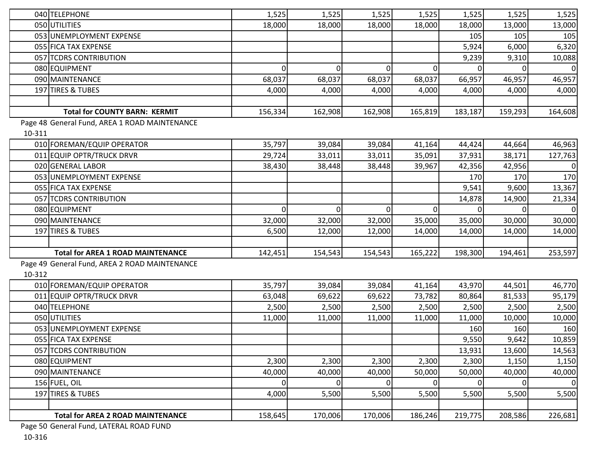|        | 040 TELEPHONE                                 | 1,525          | 1,525          | 1,525          | 1,525          | 1,525   | 1,525    | 1,525       |
|--------|-----------------------------------------------|----------------|----------------|----------------|----------------|---------|----------|-------------|
|        | 050 UTILITIES                                 | 18,000         | 18,000         | 18,000         | 18,000         | 18,000  | 13,000   | 13,000      |
|        | 053 UNEMPLOYMENT EXPENSE                      |                |                |                |                | 105     | 105      | 105         |
|        | 055 FICA TAX EXPENSE                          |                |                |                |                | 5,924   | 6,000    | 6,320       |
|        | 057 TCDRS CONTRIBUTION                        |                |                |                |                | 9,239   | 9,310    | 10,088      |
|        | 080 EQUIPMENT                                 | $\Omega$       | $\overline{0}$ | 0l             | $\Omega$       |         |          | $\mathbf 0$ |
|        | 090 MAINTENANCE                               | 68,037         | 68,037         | 68,037         | 68,037         | 66,957  | 46,957   | 46,957      |
|        | 197 TIRES & TUBES                             | 4,000          | 4,000          | 4,000          | 4,000          | 4,000   | 4,000    | 4,000       |
|        |                                               |                |                |                |                |         |          |             |
|        | <b>Total for COUNTY BARN: KERMIT</b>          | 156,334        | 162,908        | 162,908        | 165,819        | 183,187 | 159,293  | 164,608     |
|        | Page 48 General Fund, AREA 1 ROAD MAINTENANCE |                |                |                |                |         |          |             |
| 10-311 |                                               |                |                |                |                |         |          |             |
|        | 010 FOREMAN/EQUIP OPERATOR                    | 35,797         | 39,084         | 39,084         | 41,164         | 44,424  | 44,664   | 46,963      |
|        | 011 EQUIP OPTR/TRUCK DRVR                     | 29,724         | 33,011         | 33,011         | 35,091         | 37,931  | 38,171   | 127,763     |
|        | 020 GENERAL LABOR                             | 38,430         | 38,448         | 38,448         | 39,967         | 42,356  | 42,956   | 0           |
|        | 053 UNEMPLOYMENT EXPENSE                      |                |                |                |                | 170     | 170      | 170         |
|        | 055 FICA TAX EXPENSE                          |                |                |                |                | 9,541   | 9,600    | 13,367      |
|        | 057 TCDRS CONTRIBUTION                        |                |                |                |                | 14,878  | 14,900   | 21,334      |
|        | 080 EQUIPMENT                                 | $\overline{0}$ | $\overline{0}$ | $\overline{0}$ | $\overline{0}$ |         |          | $\mathbf 0$ |
|        | 090 MAINTENANCE                               | 32,000         | 32,000         | 32,000         | 35,000         | 35,000  | 30,000   | 30,000      |
|        | 197 TIRES & TUBES                             | 6,500          | 12,000         | 12,000         | 14,000         | 14,000  | 14,000   | 14,000      |
|        |                                               |                |                |                |                |         |          |             |
|        | <b>Total for AREA 1 ROAD MAINTENANCE</b>      | 142,451        | 154,543        | 154,543        | 165,222        | 198,300 | 194,461  | 253,597     |
|        | Page 49 General Fund, AREA 2 ROAD MAINTENANCE |                |                |                |                |         |          |             |
| 10-312 |                                               |                |                |                |                |         |          |             |
|        | 010 FOREMAN/EQUIP OPERATOR                    | 35,797         | 39,084         | 39,084         | 41,164         | 43,970  | 44,501   | 46,770      |
|        | 011 EQUIP OPTR/TRUCK DRVR                     | 63,048         | 69,622         | 69,622         | 73,782         | 80,864  | 81,533   | 95,179      |
|        | 040 TELEPHONE                                 | 2,500          | 2,500          | 2,500          | 2,500          | 2,500   | 2,500    | 2,500       |
|        | 050 UTILITIES                                 | 11,000         | 11,000         | 11,000         | 11,000         | 11,000  | 10,000   | 10,000      |
|        | 053 UNEMPLOYMENT EXPENSE                      |                |                |                |                | 160     | 160      | 160         |
|        | 055 FICA TAX EXPENSE                          |                |                |                |                | 9,550   | 9,642    | 10,859      |
|        | 057 TCDRS CONTRIBUTION                        |                |                |                |                | 13,931  | 13,600   | 14,563      |
|        | 080 EQUIPMENT                                 | 2,300          | 2,300          | 2,300          | 2,300          | 2,300   | 1,150    | 1,150       |
|        | 090 MAINTENANCE                               | 40,000         | 40,000         | 40,000         | 50,000         | 50,000  | 40,000   | 40,000      |
|        | 156 FUEL, OIL                                 | $\overline{0}$ | 0              | $\overline{0}$ | $\overline{0}$ | 0       | $\Omega$ | $\mathbf 0$ |
|        | 197 TIRES & TUBES                             | 4,000          | 5,500          | 5,500          | 5,500          | 5,500   | 5,500    | 5,500       |
|        |                                               |                |                |                |                |         |          |             |
|        | <b>Total for AREA 2 ROAD MAINTENANCE</b>      | 158,645        | 170,006        | 170,006        | 186,246        | 219,775 | 208,586  | 226,681     |
|        |                                               |                |                |                |                |         |          |             |

Page 50 General Fund, LATERAL ROAD FUND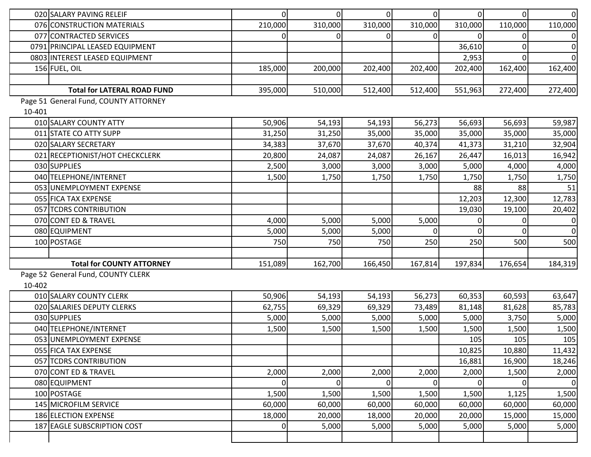| 020 SALARY PAVING RELEIF              | $\overline{0}$ | $\overline{0}$ | $\overline{0}$ | $\overline{0}$ | $\overline{0}$ | $\Omega$ | $\boldsymbol{0}$ |
|---------------------------------------|----------------|----------------|----------------|----------------|----------------|----------|------------------|
| 076 CONSTRUCTION MATERIALS            | 210,000        | 310,000        | 310,000        | 310,000        | 310,000        | 110,000  | 110,000          |
| 077 CONTRACTED SERVICES               |                | $\overline{0}$ | 0              | 0              | 0              | 0        | 0                |
| 0791 PRINCIPAL LEASED EQUIPMENT       |                |                |                |                | 36,610         |          | $\mathbf 0$      |
| 0803 INTEREST LEASED EQUIPMENT        |                |                |                |                | 2,953          |          | $\mathbf 0$      |
| 156 FUEL, OIL                         | 185,000        | 200,000        | 202,400        | 202,400        | 202,400        | 162,400  | 162,400          |
|                                       |                |                |                |                |                |          |                  |
| <b>Total for LATERAL ROAD FUND</b>    | 395,000        | 510,000        | 512,400        | 512,400        | 551,963        | 272,400  | 272,400          |
| Page 51 General Fund, COUNTY ATTORNEY |                |                |                |                |                |          |                  |
| 10-401                                |                |                |                |                |                |          |                  |
| 010 SALARY COUNTY ATTY                | 50,906         | 54,193         | 54,193         | 56,273         | 56,693         | 56,693   | 59,987           |
| 011 STATE CO ATTY SUPP                | 31,250         | 31,250         | 35,000         | 35,000         | 35,000         | 35,000   | 35,000           |
| 020 SALARY SECRETARY                  | 34,383         | 37,670         | 37,670         | 40,374         | 41,373         | 31,210   | 32,904           |
| 021 RECEPTIONIST/HOT CHECKCLERK       | 20,800         | 24,087         | 24,087         | 26,167         | 26,447         | 16,013   | 16,942           |
| 030 SUPPLIES                          | 2,500          | 3,000          | 3,000          | 3,000          | 5,000          | 4,000    | 4,000            |
| 040 TELEPHONE/INTERNET                | 1,500          | 1,750          | 1,750          | 1,750          | 1,750          | 1,750    | 1,750            |
| 053 UNEMPLOYMENT EXPENSE              |                |                |                |                | 88             | 88       | 51               |
| 055 FICA TAX EXPENSE                  |                |                |                |                | 12,203         | 12,300   | 12,783           |
| 057 TCDRS CONTRIBUTION                |                |                |                |                | 19,030         | 19,100   | 20,402           |
| 070 CONT ED & TRAVEL                  | 4,000          | 5,000          | 5,000          | 5,000          | 0              |          | $\mathbf 0$      |
| 080 EQUIPMENT                         | 5,000          | 5,000          | 5,000          | $\overline{0}$ | $\Omega$       |          | $\mathbf 0$      |
| 100 POSTAGE                           | 750            | 750            | 750            | 250            | 250            | 500      | 500              |
|                                       |                |                |                |                |                |          |                  |
| <b>Total for COUNTY ATTORNEY</b>      | 151,089        | 162,700        | 166,450        | 167,814        | 197,834        | 176,654  | 184,319          |
| Page 52 General Fund, COUNTY CLERK    |                |                |                |                |                |          |                  |
| 10-402                                |                |                |                |                |                |          |                  |
| 010 SALARY COUNTY CLERK               | 50,906         | 54,193         | 54,193         | 56,273         | 60,353         | 60,593   | 63,647           |
| 020 SALARIES DEPUTY CLERKS            | 62,755         | 69,329         | 69,329         | 73,489         | 81,148         | 81,628   | 85,783           |
| 030 SUPPLIES                          | 5,000          | 5,000          | 5,000          | 5,000          | 5,000          | 3,750    | 5,000            |
| 040 TELEPHONE/INTERNET                | 1,500          | 1,500          | 1,500          | 1,500          | 1,500          | 1,500    | 1,500            |
| 053 UNEMPLOYMENT EXPENSE              |                |                |                |                | 105            | 105      | 105              |
| 055 FICA TAX EXPENSE                  |                |                |                |                | 10,825         | 10,880   | 11,432           |
| 057 TCDRS CONTRIBUTION                |                |                |                |                | 16,881         | 16,900   | 18,246           |
| 070 CONT ED & TRAVEL                  | 2,000          | 2,000          | 2,000          | 2,000          | 2,000          | 1,500    | 2,000            |
| 080 EQUIPMENT                         | $\mathbf{0}$   | $\overline{0}$ | 0              | 0              | $\overline{0}$ | $\Omega$ | $\mathbf 0$      |
| 100 POSTAGE                           | 1,500          | 1,500          | 1,500          | 1,500          | 1,500          | 1,125    | 1,500            |
| 145 MICROFILM SERVICE                 | 60,000         | 60,000         | 60,000         | 60,000         | 60,000         | 60,000   | 60,000           |
| 186 ELECTION EXPENSE                  | 18,000         | 20,000         | 18,000         | 20,000         | 20,000         | 15,000   | 15,000           |
| 187 EAGLE SUBSCRIPTION COST           | 0              | 5,000          | 5,000          | 5,000          | 5,000          | 5,000    | 5,000            |
|                                       |                |                |                |                |                |          |                  |
|                                       |                |                |                |                |                |          |                  |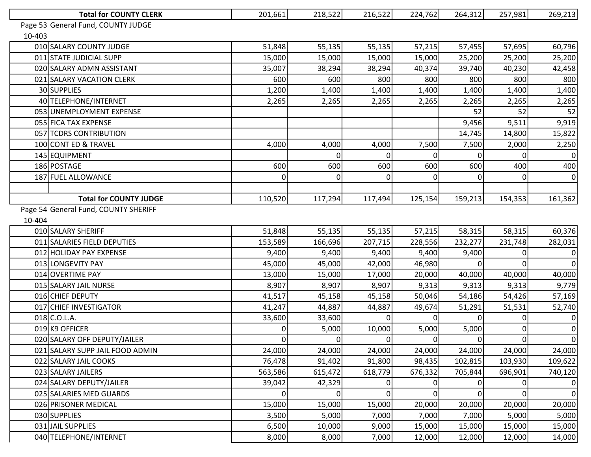|                                      | <b>Total for COUNTY CLERK</b>      | 201,661  | 218,522 | 216,522  | 224,762 | 264,312  | 257,981      | 269,213        |
|--------------------------------------|------------------------------------|----------|---------|----------|---------|----------|--------------|----------------|
|                                      | Page 53 General Fund, COUNTY JUDGE |          |         |          |         |          |              |                |
| 10-403                               |                                    |          |         |          |         |          |              |                |
|                                      | 010 SALARY COUNTY JUDGE            | 51,848   | 55,135  | 55,135   | 57,215  | 57,455   | 57,695       | 60,796         |
|                                      | 011 STATE JUDICIAL SUPP            | 15,000   | 15,000  | 15,000   | 15,000  | 25,200   | 25,200       | 25,200         |
|                                      | 020 SALARY ADMN ASSISTANT          | 35,007   | 38,294  | 38,294   | 40,374  | 39,740   | 40,230       | 42,458         |
|                                      | 021 SALARY VACATION CLERK          | 600      | 600     | 800      | 800     | 800      | 800          | 800            |
|                                      | 30 SUPPLIES                        | 1,200    | 1,400   | 1,400    | 1,400   | 1,400    | 1,400        | 1,400          |
|                                      | 40 TELEPHONE/INTERNET              | 2,265    | 2,265   | 2,265    | 2,265   | 2,265    | 2,265        | 2,265          |
|                                      | 053 UNEMPLOYMENT EXPENSE           |          |         |          |         | 52       | 52           | 52             |
|                                      | 055 FICA TAX EXPENSE               |          |         |          |         | 9,456    | 9,511        | 9,919          |
|                                      | 057 TCDRS CONTRIBUTION             |          |         |          |         | 14,745   | 14,800       | 15,822         |
|                                      | 100 CONT ED & TRAVEL               | 4,000    | 4,000   | 4,000    | 7,500   | 7,500    | 2,000        | 2,250          |
|                                      | 145 EQUIPMENT                      |          |         |          |         |          |              | $\overline{0}$ |
|                                      | 186 POSTAGE                        | 600      | 600     | 600      | 600     | 600      | 400          | 400            |
|                                      | 187 FUEL ALLOWANCE                 | 0        |         | $\Omega$ |         |          | 0            | $\overline{0}$ |
|                                      |                                    |          |         |          |         |          |              |                |
|                                      | <b>Total for COUNTY JUDGE</b>      | 110,520  | 117,294 | 117,494  | 125,154 | 159,213  | 154,353      | 161,362        |
| Page 54 General Fund, COUNTY SHERIFF |                                    |          |         |          |         |          |              |                |
| 10-404                               |                                    |          |         |          |         |          |              |                |
|                                      | 010 SALARY SHERIFF                 | 51,848   | 55,135  | 55,135   | 57,215  | 58,315   | 58,315       | 60,376         |
|                                      | 011 SALARIES FIELD DEPUTIES        | 153,589  | 166,696 | 207,715  | 228,556 | 232,277  | 231,748      | 282,031        |
|                                      | 012 HOLIDAY PAY EXPENSE            | 9,400    | 9,400   | 9,400    | 9,400   | 9,400    |              | 0              |
|                                      | 013 LONGEVITY PAY                  | 45,000   | 45,000  | 42,000   | 46,980  |          | $\Omega$     | 0              |
|                                      | 014 OVERTIME PAY                   | 13,000   | 15,000  | 17,000   | 20,000  | 40,000   | 40,000       | 40,000         |
|                                      | 015 SALARY JAIL NURSE              | 8,907    | 8,907   | 8,907    | 9,313   | 9,313    | 9,313        | 9,779          |
|                                      | 016 CHIEF DEPUTY                   | 41,517   | 45,158  | 45,158   | 50,046  | 54,186   | 54,426       | 57,169         |
|                                      | 017 CHIEF INVESTIGATOR             | 41,247   | 44,887  | 44,887   | 49,674  | 51,291   | 51,531       | 52,740         |
|                                      | 018 C.O.L.A.                       | 33,600   | 33,600  | $\Omega$ |         | ΩI       | $\mathbf{0}$ | $\overline{0}$ |
|                                      | 019 K9 OFFICER                     | 0        | 5,000   | 10,000   | 5,000   | 5,000    | 0            | $\overline{0}$ |
|                                      | 020 SALARY OFF DEPUTY/JAILER       | $\Omega$ | 0       | ΩI       | 01      | $\Omega$ | ΩI           | 0              |
|                                      | 021 SALARY SUPP JAIL FOOD ADMIN    | 24,000   | 24,000  | 24,000   | 24,000  | 24,000   | 24,000       | 24,000         |
|                                      | 022 SALARY JAIL COOKS              | 76,478   | 91,402  | 91,800   | 98,435  | 102,815  | 103,930      | 109,622        |
|                                      | 023 SALARY JAILERS                 | 563,586  | 615,472 | 618,779  | 676,332 | 705,844  | 696,901      | 740,120        |
|                                      | 024 SALARY DEPUTY/JAILER           | 39,042   | 42,329  | 0        |         |          | $\Omega$     | $\overline{0}$ |
|                                      | 025 SALARIES MED GUARDS            | $\Omega$ | 0       | $\Omega$ |         | 01       | $\Omega$     | $\overline{0}$ |
|                                      | 026 PRISONER MEDICAL               | 15,000   | 15,000  | 15,000   | 20,000  | 20,000   | 20,000       | 20,000         |
|                                      | 030 SUPPLIES                       | 3,500    | 5,000   | 7,000    | 7,000   | 7,000    | 5,000        | 5,000          |
|                                      | 031 JAIL SUPPLIES                  | 6,500    | 10,000  | 9,000    | 15,000  | 15,000   | 15,000       | 15,000         |
|                                      | 040 TELEPHONE/INTERNET             | 8,000    | 8,000   | 7,000    | 12,000  | 12,000   | 12,000       | 14,000         |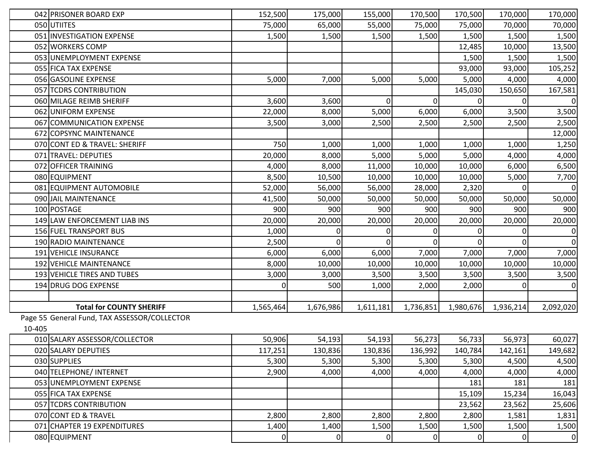|        | 042 PRISONER BOARD EXP                       | 152,500      | 175,000        | 155,000        | 170,500        | 170,500        | 170,000        | 170,000        |
|--------|----------------------------------------------|--------------|----------------|----------------|----------------|----------------|----------------|----------------|
|        | 050 UTIITES                                  | 75,000       | 65,000         | 55,000         | 75,000         | 75,000         | 70,000         | 70,000         |
|        | 051 INVESTIGATION EXPENSE                    | 1,500        | 1,500          | 1,500          | 1,500          | 1,500          | 1,500          | 1,500          |
|        | 052 WORKERS COMP                             |              |                |                |                | 12,485         | 10,000         | 13,500         |
|        | 053 UNEMPLOYMENT EXPENSE                     |              |                |                |                | 1,500          | 1,500          | 1,500          |
|        | 055 FICA TAX EXPENSE                         |              |                |                |                | 93,000         | 93,000         | 105,252        |
|        | 056 GASOLINE EXPENSE                         | 5,000        | 7,000          | 5,000          | 5,000          | 5,000          | 4,000          | 4,000          |
|        | 057 TCDRS CONTRIBUTION                       |              |                |                |                | 145,030        | 150,650        | 167,581        |
|        | 060 MILAGE REIMB SHERIFF                     | 3,600        | 3,600          | 0              | $\Omega$       |                |                | 0              |
|        | 062 UNIFORM EXPENSE                          | 22,000       | 8,000          | 5,000          | 6,000          | 6,000          | 3,500          | 3,500          |
|        | 067 COMMUNICATION EXPENSE                    | 3,500        | 3,000          | 2,500          | 2,500          | 2,500          | 2,500          | 2,500          |
|        | 672 COPSYNC MAINTENANCE                      |              |                |                |                |                |                | 12,000         |
|        | 070 CONT ED & TRAVEL: SHERIFF                | 750          | 1,000          | 1,000          | 1,000          | 1,000          | 1,000          | 1,250          |
|        | 071 TRAVEL: DEPUTIES                         | 20,000       | 8,000          | 5,000          | 5,000          | 5,000          | 4,000          | 4,000          |
|        | 072 OFFICER TRAINING                         | 4,000        | 8,000          | 11,000         | 10,000         | 10,000         | 6,000          | 6,500          |
|        | 080 EQUIPMENT                                | 8,500        | 10,500         | 10,000         | 10,000         | 10,000         | 5,000          | 7,700          |
|        | 081 EQUIPMENT AUTOMOBILE                     | 52,000       | 56,000         | 56,000         | 28,000         | 2,320          |                | 0              |
|        | 090 JAIL MAINTENANCE                         | 41,500       | 50,000         | 50,000         | 50,000         | 50,000         | 50,000         | 50,000         |
|        | 100 POSTAGE                                  | 900          | 900            | 900            | 900            | 900            | 900            | 900            |
|        | 149 LAW ENFORCEMENT LIAB INS                 | 20,000       | 20,000         | 20,000         | 20,000         | 20,000         | 20,000         | 20,000         |
|        | 156 FUEL TRANSPORT BUS                       | 1,000        | 0              |                | 0              |                |                | 0              |
|        | 190 RADIO MAINTENANCE                        | 2,500        | $\Omega$       |                |                |                |                | 0              |
|        | 191 VEHICLE INSURANCE                        | 6,000        | 6,000          | 6,000          | 7,000          | 7,000          | 7,000          | 7,000          |
|        | 192 VEHICLE MAINTENANCE                      | 8,000        | 10,000         | 10,000         | 10,000         | 10,000         | 10,000         | 10,000         |
|        | 193 VEHICLE TIRES AND TUBES                  | 3,000        | 3,000          | 3,500          | 3,500          | 3,500          | 3,500          | 3,500          |
|        | 194 DRUG DOG EXPENSE                         | <sup>0</sup> | 500            | 1,000          | 2,000          | 2,000          |                | 0              |
|        |                                              |              |                |                |                |                |                |                |
|        | <b>Total for COUNTY SHERIFF</b>              | 1,565,464    | 1,676,986      | 1,611,181      | 1,736,851      | 1,980,676      | 1,936,214      | 2,092,020      |
|        | Page 55 General Fund, TAX ASSESSOR/COLLECTOR |              |                |                |                |                |                |                |
| 10-405 |                                              |              |                |                |                |                |                |                |
|        | 010 SALARY ASSESSOR/COLLECTOR                | 50,906       | 54,193         | 54,193         | 56,273         | 56,733         | 56,973         | 60,027         |
|        | 020 SALARY DEPUTIES                          | 117,251      | 130,836        | 130,836        | 136,992        | 140,784        | 142,161        | 149,682        |
|        | 030 SUPPLIES                                 | 5,300        | 5,300          | 5,300          | 5,300          | 5,300          | 4,500          | 4,500          |
|        | 040 TELEPHONE/ INTERNET                      | 2,900        | 4,000          | 4,000          | 4,000          | 4,000          | 4,000          | 4,000          |
|        | 053 UNEMPLOYMENT EXPENSE                     |              |                |                |                | 181            | 181            | 181            |
|        | 055 FICA TAX EXPENSE                         |              |                |                |                | 15,109         | 15,234         | 16,043         |
|        | 057 TCDRS CONTRIBUTION                       |              |                |                |                | 23,562         | 23,562         | 25,606         |
|        | 070 CONT ED & TRAVEL                         | 2,800        | 2,800          | 2,800          | 2,800          | 2,800          | 1,581          | 1,831          |
|        | 071 CHAPTER 19 EXPENDITURES                  | 1,400        | 1,400          | 1,500          | 1,500          | 1,500          | 1,500          | 1,500          |
|        | 080 EQUIPMENT                                | 0            | $\overline{0}$ | $\overline{0}$ | $\overline{0}$ | $\overline{0}$ | $\overline{0}$ | $\overline{0}$ |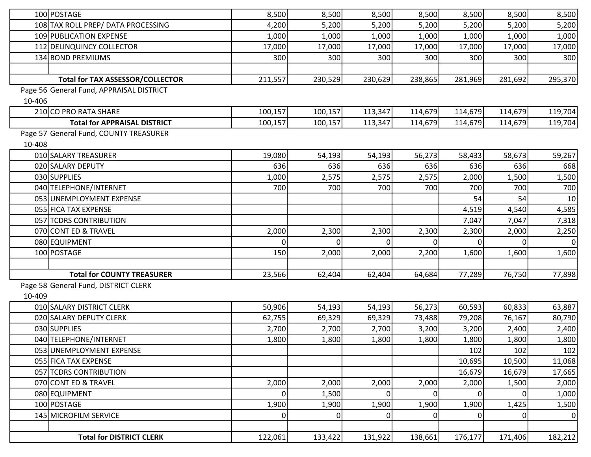|        | 100 POSTAGE                              | 8,500   | 8,500          | 8,500   | 8,500    | 8,500   | 8,500   | 8,500       |
|--------|------------------------------------------|---------|----------------|---------|----------|---------|---------|-------------|
|        | 108 TAX ROLL PREP/ DATA PROCESSING       | 4,200   | 5,200          | 5,200   | 5,200    | 5,200   | 5,200   | 5,200       |
|        | 109 PUBLICATION EXPENSE                  | 1,000   | 1,000          | 1,000   | 1,000    | 1,000   | 1,000   | 1,000       |
|        | 112 DELINQUINCY COLLECTOR                | 17,000  | 17,000         | 17,000  | 17,000   | 17,000  | 17,000  | 17,000      |
|        | 134 BOND PREMIUMS                        | 300     | 300            | 300     | 300      | 300     | 300     | 300         |
|        |                                          |         |                |         |          |         |         |             |
|        | <b>Total for TAX ASSESSOR/COLLECTOR</b>  | 211,557 | 230,529        | 230,629 | 238,865  | 281,969 | 281,692 | 295,370     |
|        | Page 56 General Fund, APPRAISAL DISTRICT |         |                |         |          |         |         |             |
| 10-406 |                                          |         |                |         |          |         |         |             |
|        | 210 CO PRO RATA SHARE                    | 100,157 | 100,157        | 113,347 | 114,679  | 114,679 | 114,679 | 119,704     |
|        | <b>Total for APPRAISAL DISTRICT</b>      | 100,157 | 100,157        | 113,347 | 114,679  | 114,679 | 114,679 | 119,704     |
|        | Page 57 General Fund, COUNTY TREASURER   |         |                |         |          |         |         |             |
| 10-408 |                                          |         |                |         |          |         |         |             |
|        | 010 SALARY TREASURER                     | 19,080  | 54,193         | 54,193  | 56,273   | 58,433  | 58,673  | 59,267      |
|        | 020 SALARY DEPUTY                        | 636     | 636            | 636     | 636      | 636     | 636     | 668         |
|        | 030 SUPPLIES                             | 1,000   | 2,575          | 2,575   | 2,575    | 2,000   | 1,500   | 1,500       |
|        | 040 TELEPHONE/INTERNET                   | 700     | 700            | 700     | 700      | 700     | 700     | 700         |
|        | 053 UNEMPLOYMENT EXPENSE                 |         |                |         |          | 54      | 54      | 10          |
|        | 055 FICA TAX EXPENSE                     |         |                |         |          | 4,519   | 4,540   | 4,585       |
|        | 057 TCDRS CONTRIBUTION                   |         |                |         |          | 7,047   | 7,047   | 7,318       |
|        | 070 CONT ED & TRAVEL                     | 2,000   | 2,300          | 2,300   | 2,300    | 2,300   | 2,000   | 2,250       |
|        | 080 EQUIPMENT                            | 0l      | 0              | ΩI      | $\Omega$ |         |         | $\mathbf 0$ |
|        | 100 POSTAGE                              | 150     | 2,000          | 2,000   | 2,200    | 1,600   | 1,600   | 1,600       |
|        |                                          |         |                |         |          |         |         |             |
|        | <b>Total for COUNTY TREASURER</b>        | 23,566  | 62,404         | 62,404  | 64,684   | 77,289  | 76,750  | 77,898      |
|        | Page 58 General Fund, DISTRICT CLERK     |         |                |         |          |         |         |             |
| 10-409 |                                          |         |                |         |          |         |         |             |
|        | 010 SALARY DISTRICT CLERK                | 50,906  | 54,193         | 54,193  | 56,273   | 60,593  | 60,833  | 63,887      |
|        | 020 SALARY DEPUTY CLERK                  | 62,755  | 69,329         | 69,329  | 73,488   | 79,208  | 76,167  | 80,790      |
|        | 030 SUPPLIES                             | 2,700   | 2,700          | 2,700   | 3,200    | 3,200   | 2,400   | 2,400       |
|        | 040 TELEPHONE/INTERNET                   | 1,800   | 1,800          | 1,800   | 1,800    | 1,800   | 1,800   | 1,800       |
|        | 053 UNEMPLOYMENT EXPENSE                 |         |                |         |          | 102     | 102     | 102         |
|        | 055 FICA TAX EXPENSE                     |         |                |         |          | 10,695  | 10,500  | 11,068      |
|        | 057 TCDRS CONTRIBUTION                   |         |                |         |          | 16,679  | 16,679  | 17,665      |
|        | 070 CONT ED & TRAVEL                     | 2,000   | 2,000          | 2,000   | 2,000    | 2,000   | 1,500   | 2,000       |
|        | 080 EQUIPMENT                            | 0l      | 1,500          | ΩI      | 0        |         |         | 1,000       |
|        | 100 POSTAGE                              | 1,900   | 1,900          | 1,900   | 1,900    | 1,900   | 1,425   | 1,500       |
|        | 145 MICROFILM SERVICE                    | 0       | $\overline{0}$ | 01      | $\Omega$ | 0       |         | $\mathbf 0$ |
|        |                                          |         |                |         |          |         |         |             |
|        | <b>Total for DISTRICT CLERK</b>          | 122,061 | 133,422        | 131,922 | 138,661  | 176,177 | 171,406 | 182,212     |
|        |                                          |         |                |         |          |         |         |             |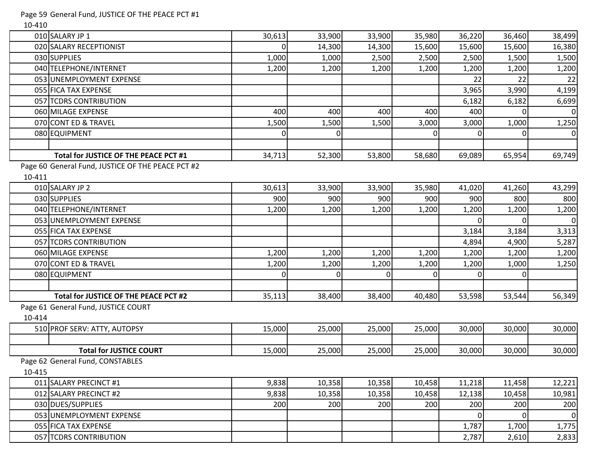## Page 59 General Fund, JUSTICE OF THE PEACE PCT #1

10-410

|        | 010 SALARY JP 1                                   | 30,613   | 33,900 | 33,900 | 35,980   | 36,220   | 36,460   | 38,499      |
|--------|---------------------------------------------------|----------|--------|--------|----------|----------|----------|-------------|
|        | 020 SALARY RECEPTIONIST                           | $\Omega$ | 14,300 | 14,300 | 15,600   | 15,600   | 15,600   | 16,380      |
|        | 030 SUPPLIES                                      | 1,000    | 1,000  | 2,500  | 2,500    | 2,500    | 1,500    | 1,500       |
|        | 040 TELEPHONE/INTERNET                            | 1,200    | 1,200  | 1,200  | 1,200    | 1,200    | 1,200    | 1,200       |
|        | 053 UNEMPLOYMENT EXPENSE                          |          |        |        |          | 22       | 22       | 22          |
|        | 055 FICA TAX EXPENSE                              |          |        |        |          | 3,965    | 3,990    | 4,199       |
|        | 057 TCDRS CONTRIBUTION                            |          |        |        |          | 6,182    | 6,182    | 6,699       |
|        | 060 MILAGE EXPENSE                                | 400      | 400    | 400    | 400      | 400      | $\Omega$ | $\mathbf 0$ |
|        | 070 CONT ED & TRAVEL                              | 1,500    | 1,500  | 1,500  | 3,000    | 3,000    | 1,000    | 1,250       |
|        | 080 EQUIPMENT                                     | ი        |        |        | $\Omega$ | $\Omega$ |          | 0           |
|        |                                                   |          |        |        |          |          |          |             |
|        | Total for JUSTICE OF THE PEACE PCT #1             | 34,713   | 52,300 | 53,800 | 58,680   | 69,089   | 65,954   | 69,749      |
|        | Page 60 General Fund, JUSTICE OF THE PEACE PCT #2 |          |        |        |          |          |          |             |
| 10-411 |                                                   |          |        |        |          |          |          |             |
|        | 010 SALARY JP 2                                   | 30,613   | 33,900 | 33,900 | 35,980   | 41,020   | 41,260   | 43,299      |
|        | 030 SUPPLIES                                      | 900      | 900    | 900    | 900      | 900      | 800      | 800         |
|        | 040 TELEPHONE/INTERNET                            | 1,200    | 1,200  | 1,200  | 1,200    | 1,200    | 1,200    | 1,200       |
|        | 053 UNEMPLOYMENT EXPENSE                          |          |        |        |          | $\Omega$ | $\Omega$ | $\mathbf 0$ |
|        | 055 FICA TAX EXPENSE                              |          |        |        |          | 3,184    | 3,184    | 3,313       |
|        | 057 TCDRS CONTRIBUTION                            |          |        |        |          | 4,894    | 4,900    | 5,287       |
|        | 060 MILAGE EXPENSE                                | 1,200    | 1,200  | 1,200  | 1,200    | 1,200    | 1,200    | 1,200       |
|        | 070 CONT ED & TRAVEL                              | 1,200    | 1,200  | 1,200  | 1,200    | 1,200    | 1,000    | 1,250       |
|        | 080 EQUIPMENT                                     | $\Omega$ | U      |        | $\Omega$ |          | $\Omega$ |             |
|        |                                                   |          |        |        |          |          |          |             |
|        | Total for JUSTICE OF THE PEACE PCT #2             | 35,113   | 38,400 | 38,400 | 40,480   | 53,598   | 53,544   | 56,349      |
|        | Page 61 General Fund, JUSTICE COURT               |          |        |        |          |          |          |             |
| 10-414 |                                                   |          |        |        |          |          |          |             |
|        | 510 PROF SERV: ATTY, AUTOPSY                      | 15,000   | 25,000 | 25,000 | 25,000   | 30,000   | 30,000   | 30,000      |
|        |                                                   |          |        |        |          |          |          |             |
|        | <b>Total for JUSTICE COURT</b>                    | 15,000   | 25,000 | 25,000 | 25,000   | 30,000   | 30,000   | 30,000      |
|        | Page 62 General Fund, CONSTABLES                  |          |        |        |          |          |          |             |
| 10-415 |                                                   |          |        |        |          |          |          |             |
|        | 011 SALARY PRECINCT #1                            | 9,838    | 10,358 | 10,358 | 10,458   | 11,218   | 11,458   | 12,221      |
|        | 012 SALARY PRECINCT #2                            | 9,838    | 10,358 | 10,358 | 10,458   | 12,138   | 10,458   | 10,981      |
|        | 030 DUES/SUPPLIES                                 | 200      | 200    | 200    | 200      | 200      | 200      | 200         |
|        | 053 UNEMPLOYMENT EXPENSE                          |          |        |        |          | $\Omega$ | $\Omega$ | $\mathbf 0$ |
|        | 055 FICA TAX EXPENSE                              |          |        |        |          | 1,787    | 1,700    | 1,775       |
|        | 057 TCDRS CONTRIBUTION                            |          |        |        |          | 2,787    | 2,610    | 2,833       |
|        |                                                   |          |        |        |          |          |          |             |